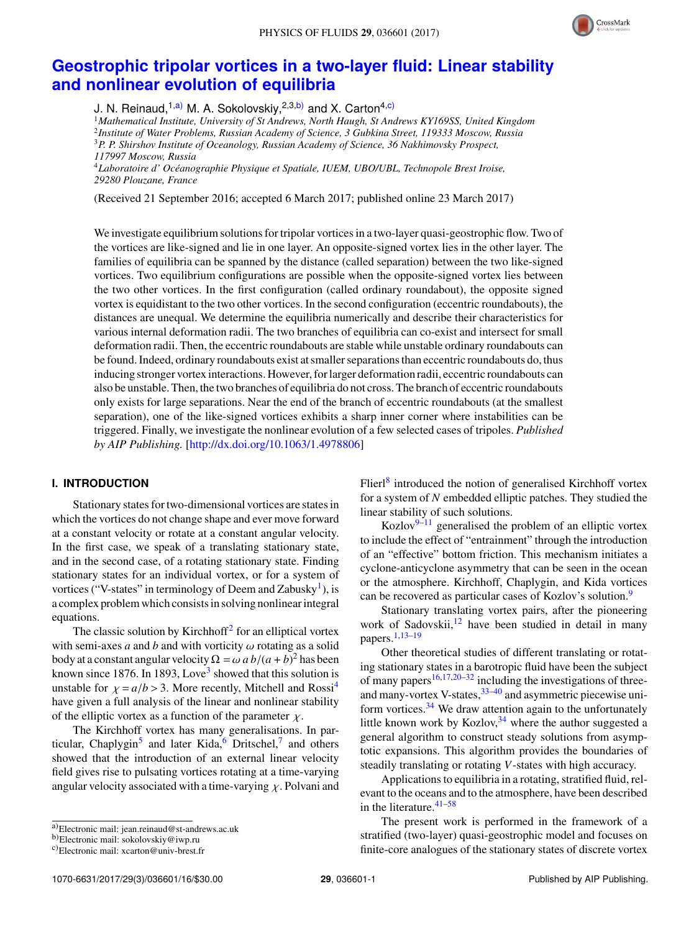

# **[Geostrophic tripolar vortices in a two-layer fluid: Linear stability](http://dx.doi.org/10.1063/1.4978806) [and nonlinear evolution of equilibria](http://dx.doi.org/10.1063/1.4978806)**

J. N. Reinaud,<sup>1[,a\)](#page-0-0)</sup> M. A. Sokolovskiy,<sup>2,3[,b\)](#page-0-1)</sup> and X. Carton<sup>4[,c\)](#page-0-2)</sup>

<sup>1</sup>*Mathematical Institute, University of St Andrews, North Haugh, St Andrews KY169SS, United Kingdom* 2 *Institute of Water Problems, Russian Academy of Science, 3 Gubkina Street, 119333 Moscow, Russia*

<sup>3</sup>*P. P. Shirshov Institute of Oceanology, Russian Academy of Science, 36 Nakhimovsky Prospect,*

*117997 Moscow, Russia*

<sup>4</sup>*Laboratoire d' Oceanographie Physique et Spatiale, IUEM, UBO/UBL, Technopole Brest Iroise, ´ 29280 Plouzane, France*

(Received 21 September 2016; accepted 6 March 2017; published online 23 March 2017)

We investigate equilibrium solutions for tripolar vortices in a two-layer quasi-geostrophic flow. Two of the vortices are like-signed and lie in one layer. An opposite-signed vortex lies in the other layer. The families of equilibria can be spanned by the distance (called separation) between the two like-signed vortices. Two equilibrium configurations are possible when the opposite-signed vortex lies between the two other vortices. In the first configuration (called ordinary roundabout), the opposite signed vortex is equidistant to the two other vortices. In the second configuration (eccentric roundabouts), the distances are unequal. We determine the equilibria numerically and describe their characteristics for various internal deformation radii. The two branches of equilibria can co-exist and intersect for small deformation radii. Then, the eccentric roundabouts are stable while unstable ordinary roundabouts can be found. Indeed, ordinary roundabouts exist at smaller separations than eccentric roundabouts do, thus inducing stronger vortex interactions. However, for larger deformation radii, eccentric roundabouts can also be unstable. Then, the two branches of equilibria do not cross. The branch of eccentric roundabouts only exists for large separations. Near the end of the branch of eccentric roundabouts (at the smallest separation), one of the like-signed vortices exhibits a sharp inner corner where instabilities can be triggered. Finally, we investigate the nonlinear evolution of a few selected cases of tripoles. *Published by AIP Publishing.* [\[http://dx.doi.org/10.1063/1.4978806\]](http://dx.doi.org/10.1063/1.4978806)

## **I. INTRODUCTION**

Stationary states for two-dimensional vortices are states in which the vortices do not change shape and ever move forward at a constant velocity or rotate at a constant angular velocity. In the first case, we speak of a translating stationary state, and in the second case, of a rotating stationary state. Finding stationary states for an individual vortex, or for a system of vortices ("V-states" in terminology of Deem and Zabusky<sup>[1](#page-14-0)</sup>), is a complex problem which consists in solving nonlinear integral equations.

The classic solution by Kirchhoff<sup>[2](#page-14-1)</sup> for an elliptical vortex with semi-axes *a* and *b* and with vorticity  $\omega$  rotating as a solid body at a constant angular velocity  $\Omega = \omega a b/(a + b)^2$  has been<br>known since 1876. In 1893. Love<sup>3</sup> showed that this solution is known since 1876. In 189[3](#page-14-2), Love<sup>3</sup> showed that this solution is unstable for  $\chi = a/b > 3$ . More recently, Mitchell and Rossi<sup>[4](#page-14-3)</sup> have given a full analysis of the linear and nonlinear stability of the elliptic vortex as a function of the parameter  $\chi$ .

The Kirchhoff vortex has many generalisations. In par-ticular, Chaplygin<sup>[5](#page-14-4)</sup> and later Kida,<sup>[6](#page-14-5)</sup> Dritschel,<sup>[7](#page-14-6)</sup> and others showed that the introduction of an external linear velocity field gives rise to pulsating vortices rotating at a time-varying angular velocity associated with a time-varying  $\chi$ . Polvani and

Flierl<sup>[8](#page-14-7)</sup> introduced the notion of generalised Kirchhoff vortex for a system of *N* embedded elliptic patches. They studied the linear stability of such solutions.

Kozlov $9-11$  $9-11$  generalised the problem of an elliptic vortex to include the effect of "entrainment" through the introduction of an "effective" bottom friction. This mechanism initiates a cyclone-anticyclone asymmetry that can be seen in the ocean or the atmosphere. Kirchhoff, Chaplygin, and Kida vortices can be recovered as particular cases of Kozlov's solution.<sup>[9](#page-14-8)</sup>

Stationary translating vortex pairs, after the pioneering work of Sadovskii, $12$  have been studied in detail in many papers.[1](#page-14-0)[,13](#page-14-11)[–19](#page-14-12)

Other theoretical studies of different translating or rotating stationary states in a barotropic fluid have been the subject of many papers<sup>[16,](#page-14-13)[17,](#page-14-14)[20–](#page-14-15)[32](#page-14-16)</sup> including the investigations of threeand many-vortex V-states,  $33-40$  $33-40$  and asymmetric piecewise uniform vortices. $34$  We draw attention again to the unfortunately little known work by Kozlov,  $34$  where the author suggested a general algorithm to construct steady solutions from asymptotic expansions. This algorithm provides the boundaries of steadily translating or rotating *V*-states with high accuracy.

Applications to equilibria in a rotating, stratified fluid, relevant to the oceans and to the atmosphere, have been described in the literature.<sup>[41](#page-14-20)-58</sup>

The present work is performed in the framework of a stratified (two-layer) quasi-geostrophic model and focuses on finite-core analogues of the stationary states of discrete vortex

<span id="page-0-0"></span>a)Electronic mail: [jean.reinaud@st-andrews.ac.uk](mailto:jean.reinaud@st-andrews.ac.uk)

<span id="page-0-1"></span>b)Electronic mail: [sokolovskiy@iwp.ru](mailto:sokolovskiy@iwp.ru)

<span id="page-0-2"></span>c)Electronic mail: [xcarton@univ-brest.fr](mailto:xcarton@univ-brest.fr)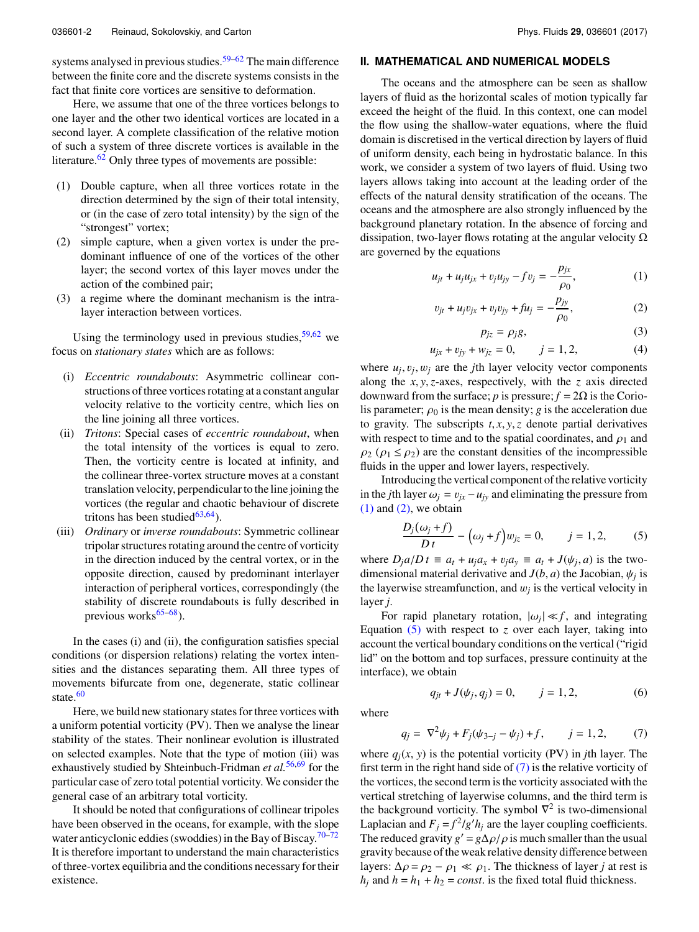systems analysed in previous studies.<sup>[59](#page-14-22)[–62](#page-14-23)</sup> The main difference between the finite core and the discrete systems consists in the fact that finite core vortices are sensitive to deformation.

Here, we assume that one of the three vortices belongs to one layer and the other two identical vortices are located in a second layer. A complete classification of the relative motion of such a system of three discrete vortices is available in the literature. $62$  Only three types of movements are possible:

- (1) Double capture, when all three vortices rotate in the direction determined by the sign of their total intensity, or (in the case of zero total intensity) by the sign of the "strongest" vortex;
- (2) simple capture, when a given vortex is under the predominant influence of one of the vortices of the other layer; the second vortex of this layer moves under the action of the combined pair;
- (3) a regime where the dominant mechanism is the intralayer interaction between vortices.

Using the terminology used in previous studies,  $59,62$  $59,62$  we focus on *stationary states* which are as follows:

- (i) *Eccentric roundabouts*: Asymmetric collinear constructions of three vortices rotating at a constant angular velocity relative to the vorticity centre, which lies on the line joining all three vortices.
- (ii) *Tritons*: Special cases of *eccentric roundabout*, when the total intensity of the vortices is equal to zero. Then, the vorticity centre is located at infinity, and the collinear three-vortex structure moves at a constant translation velocity, perpendicular to the line joining the vortices (the regular and chaotic behaviour of discrete tritons has been studied $63,64$  $63,64$ ).
- (iii) *Ordinary* or *inverse roundabouts*: Symmetric collinear tripolar structures rotating around the centre of vorticity in the direction induced by the central vortex, or in the opposite direction, caused by predominant interlayer interaction of peripheral vortices, correspondingly (the stability of discrete roundabouts is fully described in previous works $65-68$  $65-68$ ).

In the cases (i) and (ii), the configuration satisfies special conditions (or dispersion relations) relating the vortex intensities and the distances separating them. All three types of movements bifurcate from one, degenerate, static collinear state. $60$ 

Here, we build new stationary states for three vortices with a uniform potential vorticity (PV). Then we analyse the linear stability of the states. Their nonlinear evolution is illustrated on selected examples. Note that the type of motion (iii) was exhaustively studied by Shteinbuch-Fridman *et al.*[56](#page-14-26)[,69](#page-15-3) for the particular case of zero total potential vorticity. We consider the general case of an arbitrary total vorticity.

It should be noted that configurations of collinear tripoles have been observed in the oceans, for example, with the slope water anticyclonic eddies (swoddies) in the Bay of Biscay.<sup>[70](#page-15-4)[–72](#page-15-5)</sup> It is therefore important to understand the main characteristics of three-vortex equilibria and the conditions necessary for their existence.

# **II. MATHEMATICAL AND NUMERICAL MODELS**

The oceans and the atmosphere can be seen as shallow layers of fluid as the horizontal scales of motion typically far exceed the height of the fluid. In this context, one can model the flow using the shallow-water equations, where the fluid domain is discretised in the vertical direction by layers of fluid of uniform density, each being in hydrostatic balance. In this work, we consider a system of two layers of fluid. Using two layers allows taking into account at the leading order of the effects of the natural density stratification of the oceans. The oceans and the atmosphere are also strongly influenced by the background planetary rotation. In the absence of forcing and dissipation, two-layer flows rotating at the angular velocity  $\Omega$ are governed by the equations

<span id="page-1-0"></span>
$$
u_{jt} + u_j u_{jx} + v_j u_{jy} - f v_j = -\frac{p_{jx}}{\rho_0},
$$
 (1)

<span id="page-1-1"></span>
$$
v_{jt} + u_j v_{jx} + v_j v_{jy} + fu_j = -\frac{p_{jy}}{\rho_0},
$$
 (2)

$$
p_{jz} = \rho_j g,\tag{3}
$$

$$
u_{jx} + v_{jy} + w_{jz} = 0, \t j = 1, 2,
$$
\t(4)

where  $u_j, v_j, w_j$  are the *j*th layer velocity vector components along the *x*, *y*,*z*-axes, respectively, with the *z* axis directed downward from the surface; *p* is pressure;  $f = 2\Omega$  is the Coriolis parameter;  $\rho_0$  is the mean density; *g* is the acceleration due to gravity. The subscripts  $t, x, y, z$  denote partial derivatives with respect to time and to the spatial coordinates, and  $\rho_1$  and  $\rho_2$  ( $\rho_1 \le \rho_2$ ) are the constant densities of the incompressible fluids in the upper and lower layers, respectively.

Introducing the vertical component of the relative vorticity in the *j*th layer  $\omega_j = v_{jx} - u_{jy}$  and eliminating the pressure from  $(1)$  and  $(2)$ , we obtain

<span id="page-1-2"></span>
$$
\frac{D_j(\omega_j + f)}{Dt} - (\omega_j + f)w_{jz} = 0, \qquad j = 1, 2, \qquad (5)
$$

where  $D_j a/D t \equiv a_t + u_j a_x + v_j a_y \equiv a_t + J(\psi_j, a)$  is the two-<br>dimensional material derivative and  $J(b, a)$  the Iscobian  $\psi_j$ : dimensional material derivative and  $J(b, a)$  the Jacobian,  $\psi_j$  is<br>the laverwise streamfunction, and  $w_j$  is the vertical velocity in the layerwise streamfunction, and  $w_j$  is the vertical velocity in layer *j*.

For rapid planetary rotation,  $|\omega_j| \ll f$ , and integrating<br>ation (5) with respect to z over each layer taking into Equation [\(5\)](#page-1-2) with respect to *z* over each layer, taking into account the vertical boundary conditions on the vertical ("rigid lid" on the bottom and top surfaces, pressure continuity at the interface), we obtain

where

$$
q_{jt} + J(\psi_j, q_j) = 0, \qquad j = 1, 2, \tag{6}
$$

<span id="page-1-3"></span>
$$
q_j = \nabla^2 \psi_j + F_j(\psi_{3-j} - \psi_j) + f, \qquad j = 1, 2, \tag{7}
$$

where  $q_i(x, y)$  is the potential vorticity (PV) in *j*th layer. The first term in the right hand side of  $(7)$  is the relative vorticity of the vortices, the second term is the vorticity associated with the vertical stretching of layerwise columns, and the third term is the background vorticity. The symbol  $\nabla^2$  is two-dimensional Laplacian and  $F_j = f^2/g'h_j$  are the layer coupling coefficients. The reduced gravity  $g' = g\Delta\rho/\rho$  is much smaller than the usual<br>gravity because of the weak relative density difference between gravity because of the weak relative density difference between layers:  $\Delta \rho = \rho_2 - \rho_1 \ll \rho_1$ . The thickness of layer *j* at rest is  $h_i$  and  $h = h_1 + h_2 = const.$  is the fixed total fluid thickness.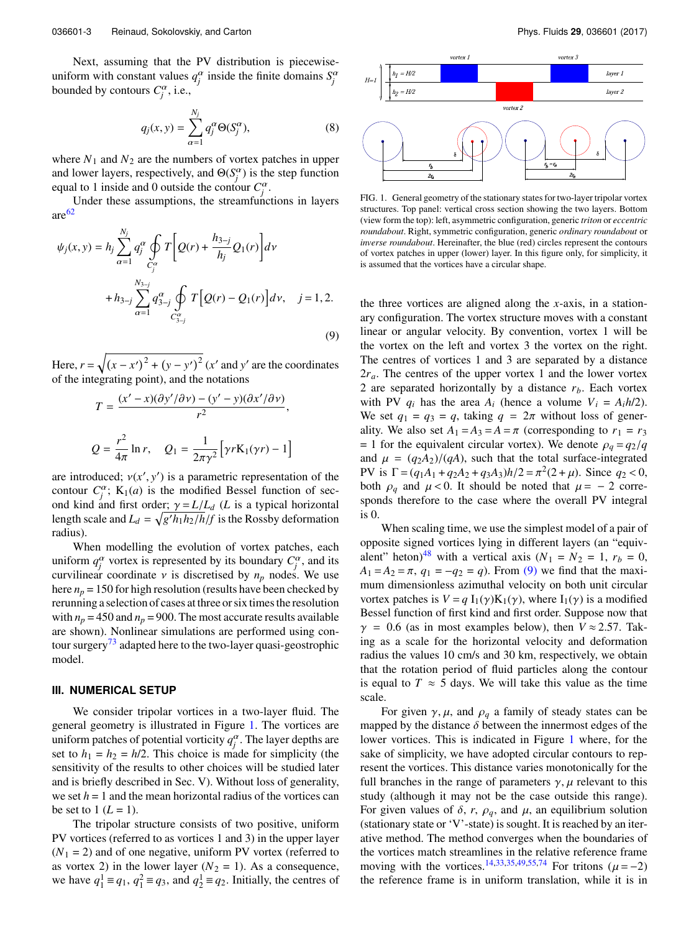Next, assuming that the PV distribution is piecewiseuniform with constant values  $q_j^{\alpha}$  inside the finite domains  $S_j^{\alpha}$ bounded by contours  $C_j^{\alpha}$ , i.e.,

$$
q_j(x, y) = \sum_{\alpha=1}^{N_j} q_j^{\alpha} \Theta(S_j^{\alpha}),
$$
 (8)

where  $N_1$  and  $N_2$  are the numbers of vortex patches in upper and lower layers, respectively, and  $\Theta(S_j^{\alpha})$  is the step function equal to 1 inside and 0 outside the contour  $C_j^{\alpha}$ .

Under these assumptions, the streamfunctions in layers  $are<sup>62</sup>$  $are<sup>62</sup>$  $are<sup>62</sup>$ 

$$
\psi_j(x, y) = h_j \sum_{\alpha=1}^{N_j} q_j^{\alpha} \oint_{C_j^{\alpha}} T \left[ Q(r) + \frac{h_{3-j}}{h_j} Q_1(r) \right] dv + h_{3-j} \sum_{\alpha=1}^{N_{3-j}} q_{3-j}^{\alpha} \oint_{C_{3-j}^{\alpha}} T \left[ Q(r) - Q_1(r) \right] dv, \quad j = 1, 2.
$$
\n(9)

Here,  $r = \sqrt{(x - x')^2 + (y - y')^2}$  (*x'* and *y'* are the coordinates of the integrating point), and the notations

$$
T = \frac{(x'-x)(\partial y'/\partial \nu) - (y'-y)(\partial x'/\partial \nu)}{r^2},
$$
  

$$
Q = \frac{r^2}{4\pi} \ln r, \quad Q_1 = \frac{1}{2\pi\gamma^2} \Big[ \gamma r K_1(\gamma r) - 1 \Big]
$$

are introduced;  $v(x', y')$  is a parametric representation of the<br>contour  $C^{\alpha}$ . K<sub>1</sub>(*a*) is the modified Bessel function of seccontour  $C_j^{\alpha}$ ; K<sub>1</sub>(*a*) is the modified Bessel function of second kind and first order;  $\gamma = L/L_d$  (*L* is a typical horizontal length scale and  $L_d = \sqrt{g'h_1h_2/h}/f$  is the Rossby deformation radius) radius).

When modelling the evolution of vortex patches, each uniform  $q_j^{\alpha}$  vortex is represented by its boundary  $C_j^{\alpha}$ , and its curvilinear coordinate  $\nu$  is discretised by  $n_p$  nodes. We use here  $n_p = 150$  for high resolution (results have been checked by rerunning a selection of cases at three or six times the resolution with  $n_p = 450$  and  $n_p = 900$ . The most accurate results available are shown). Nonlinear simulations are performed using contour surgery $\frac{73}{3}$  $\frac{73}{3}$  $\frac{73}{3}$  adapted here to the two-layer quasi-geostrophic model.

#### **III. NUMERICAL SETUP**

We consider tripolar vortices in a two-layer fluid. The general geometry is illustrated in Figure [1.](#page-2-0) The vortices are uniform patches of potential vorticity  $q_j^{\alpha}$ . The layer depths are set to  $h_1 = h_2 = h/2$ . This choice is made for simplicity (the sensitivity of the results to other choices will be studied later and is briefly described in Sec. V). Without loss of generality, we set  $h = 1$  and the mean horizontal radius of the vortices can be set to  $1 (L = 1)$ .

The tripolar structure consists of two positive, uniform PV vortices (referred to as vortices 1 and 3) in the upper layer  $(N_1 = 2)$  and of one negative, uniform PV vortex (referred to as vortex 2) in the lower layer ( $N_2 = 1$ ). As a consequence, we have  $q_1^1 \equiv q_1$ ,  $q_1^2 \equiv q_3$ , and  $q_2^1 \equiv q_2$ . Initially, the centres of

<span id="page-2-0"></span>

FIG. 1. General geometry of the stationary states for two-layer tripolar vortex structures. Top panel: vertical cross section showing the two layers. Bottom (view form the top): left, asymmetric configuration, generic *triton* or *eccentric roundabout*. Right, symmetric configuration, generic *ordinary roundabout* or *inverse roundabout*. Hereinafter, the blue (red) circles represent the contours of vortex patches in upper (lower) layer. In this figure only, for simplicity, it is assumed that the vortices have a circular shape.

<span id="page-2-1"></span>the three vortices are aligned along the *x*-axis, in a stationary configuration. The vortex structure moves with a constant linear or angular velocity. By convention, vortex 1 will be the vortex on the left and vortex 3 the vortex on the right. The centres of vortices 1 and 3 are separated by a distance  $2r_a$ . The centres of the upper vortex 1 and the lower vortex 2 are separated horizontally by a distance *rb*. Each vortex with PV  $q_i$  has the area  $A_i$  (hence a volume  $V_i = A_i h/2$ ). We set  $q_1 = q_3 = q$ , taking  $q = 2\pi$  without loss of generality. We also set  $A_1 = A_3 = A = \pi$  (corresponding to  $r_1 = r_3$ )  $= 1$  for the equivalent circular vortex). We denote  $\rho_q = q_2/q$ and  $\mu = (q_2A_2)/(qA)$ , such that the total surface-integrated PV is  $\Gamma = (q_1A_1 + q_2A_2 + q_3A_3)h/2 = \pi^2(2 + \mu)$ . Since  $q_2 < 0$ , both  $q_1$  and  $\mu < 0$ , It should be noted that  $\mu = -2$  correboth  $\rho_q$  and  $\mu < 0$ . It should be noted that  $\mu = -2$  corresponds therefore to the case where the overall PV integral is 0.

When scaling time, we use the simplest model of a pair of opposite signed vortices lying in different layers (an "equiv-alent" heton)<sup>[48](#page-14-27)</sup> with a vertical axis  $(N_1 = N_2 = 1, r_b = 0,$ When scaling time, we use the simplest model of a pair of opposite signed vortices lying in different layers (an "equivalent" heton)<sup>48</sup> with a vertical axis ( $N_1 = N_2 = 1$ ,  $r_b = 0$ ,  $A_1 = A_2 = \pi$ ,  $q_1 = -q_2 = q$ ). From [\(9\)](#page-2-1) w mum dimensionless azimuthal velocity on both unit circular vortex patches is  $V = q I_1(\gamma) K_1(\gamma)$ , where  $I_1(\gamma)$  is a modified Bessel function of first kind and first order. Suppose now that  $\gamma$  = 0.6 (as in most examples below), then  $V \approx 2.57$ . Taking as a scale for the horizontal velocity and deformation radius the values 10 cm/s and 30 km, respectively, we obtain that the rotation period of fluid particles along the contour is equal to  $T \approx 5$  days. We will take this value as the time scale.

For given  $\gamma$ ,  $\mu$ , and  $\rho_q$  a family of steady states can be mapped by the distance  $\delta$  between the innermost edges of the lower vortices. This is indicated in Figure [1](#page-2-0) where, for the sake of simplicity, we have adopted circular contours to represent the vortices. This distance varies monotonically for the full branches in the range of parameters  $\gamma$ ,  $\mu$  relevant to this study (although it may not be the case outside this range). For given values of  $\delta$ , r,  $\rho_q$ , and  $\mu$ , an equilibrium solution (stationary state or 'V'-state) is sought. It is reached by an iterative method. The method converges when the boundaries of the vortices match streamlines in the relative reference frame moving with the vortices.<sup>[14](#page-14-28)[,33,](#page-14-17)[35](#page-14-29)[,49,](#page-14-30)[55,](#page-14-31)[74](#page-15-7)</sup> For tritons ( $\mu$  = -2) the reference frame is in uniform translation, while it is in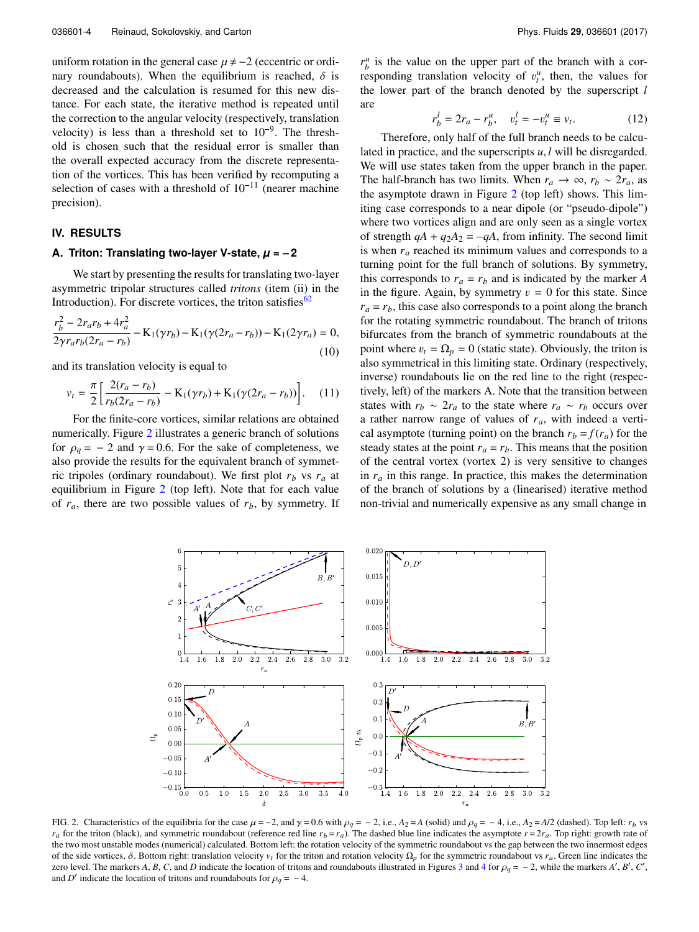uniform rotation in the general case  $\mu \neq -2$  (eccentric or ordinary roundabouts). When the equilibrium is reached,  $\delta$  is decreased and the calculation is resumed for this new distance. For each state, the iterative method is repeated until the correction to the angular velocity (respectively, translation tance. For each state, the iterative method is<br>the correction to the angular velocity (respective<br>velocity) is less than a threshold set to  $10^{-9}$ velocity) is less than a threshold set to  $10^{-9}$ . The threshold is chosen such that the residual error is smaller than the overall expected accuracy from the discrete representation of the vortices. This has been verified by recomputing a selection of the vortal expected accuracy from the discrete representa-<br>tion of the vortices. This has been verified by recomputing a<br>selection of cases with a threshold of  $10^{-11}$  (nearer machine precision).

## **IV. RESULTS**

## **A. Triton: Translating two-layer V-state,** *µ* **= – 2**

We start by presenting the results for translating two-layer asymmetric tripolar structures called *tritons* (item (ii) in the Introduction). For discrete vortices, the triton satisfies $62$ 

<span id="page-3-1"></span>
$$
\frac{r_b^2 - 2r_a r_b + 4r_a^2}{2\gamma r_a r_b (2r_a - r_b)} - \mathcal{K}_1(\gamma r_b) - \mathcal{K}_1(\gamma (2r_a - r_b)) - \mathcal{K}_1(2\gamma r_a) = 0,
$$
\n(10)

and its translation velocity is equal to

<span id="page-3-2"></span>
$$
v_t = \frac{\pi}{2} \left[ \frac{2(r_a - r_b)}{r_b(2r_a - r_b)} - \mathbf{K}_1(\gamma r_b) + \mathbf{K}_1(\gamma (2r_a - r_b)) \right]. \tag{11}
$$

For the finite-core vortices, similar relations are obtained numerically. Figure [2](#page-3-0) illustrates a generic branch of solutions for  $\rho_q = -2$  and  $\gamma = 0.6$ . For the sake of completeness, we also provide the results for the equivalent branch of symmetric tripoles (ordinary roundabout). We first plot  $r_b$  vs  $r_a$  at equilibrium in Figure [2](#page-3-0) (top left). Note that for each value of  $r_a$ , there are two possible values of  $r_b$ , by symmetry. If

 $r_b^u$  is the value on the upper part of the branch with a corresponding translation velocity of  $v_t^u$ , then, the values for the lower part of the branch denoted by the superscript *l* are

$$
r_b^l = 2r_a - r_b^u, \quad v_t^l = -v_t^u \equiv v_t.
$$
 (12)

Therefore, only half of the full branch needs to be calculated in practice, and the superscripts *u*, *l* will be disregarded. We will use states taken from the upper branch in the paper. The half-branch has two limits. When  $r_a \rightarrow \infty$ ,  $r_b \sim 2r_a$ , as the asymptote drawn in Figure [2](#page-3-0) (top left) shows. This limiting case corresponds to a near dipole (or "pseudo-dipole") where two vortices align and are only seen as a single vortex of strength  $qA + q_2A_2 = -qA$ , from infinity. The second limit is when *r<sup>a</sup>* reached its minimum values and corresponds to a turning point for the full branch of solutions. By symmetry, this corresponds to  $r_a = r_b$  and is indicated by the marker *A* in the figure. Again, by symmetry  $v = 0$  for this state. Since  $r_a = r_b$ , this case also corresponds to a point along the branch for the rotating symmetric roundabout. The branch of tritons bifurcates from the branch of symmetric roundabouts at the point where  $v_t = \Omega_p = 0$  (static state). Obviously, the triton is also symmetrical in this limiting state. Ordinary (respectively, inverse) roundabouts lie on the red line to the right (respectively, left) of the markers A. Note that the transition between states with  $r_b \sim 2r_a$  to the state where  $r_a \sim r_b$  occurs over a rather narrow range of values of *ra*, with indeed a vertical asymptote (turning point) on the branch  $r_b = f(r_a)$  for the steady states at the point  $r_a = r_b$ . This means that the position of the central vortex (vortex 2) is very sensitive to changes in *r<sup>a</sup>* in this range. In practice, this makes the determination of the branch of solutions by a (linearised) iterative method non-trivial and numerically expensive as any small change in

<span id="page-3-0"></span>

FIG. 2. Characteristics of the equilibria for the case  $\mu = -2$ , and  $\gamma = 0.6$  with  $\rho_q = -2$ , i.e.,  $A_2 = A$  (solid) and  $\rho_q = -4$ , i.e.,  $A_2 = A/2$  (dashed). Top left: *r<sub>b</sub>* vs  $r_a$  for the triton (black), and symmetric roundabout (reference red line  $r_b = r_a$ ). The dashed blue line indicates the asymptote  $r = 2r_a$ . Top right: growth rate of the two most unstable modes (numerical) calculated. Bottom left: the rotation velocity of the symmetric roundabout vs the gap between the two innermost edges of the side vortices, δ. Bottom right: translation velocity  $v_t$  for the triton and rotation velocity  $Ω_p$  for the symmetric roundabout vs  $r_a$ . Green line indicates the zero level. The markers *A*, *B*, *C*, and *D* indicate the location of tritons and roundabouts illustrated in Figures [3](#page-4-0) and [4](#page-5-0) for  $\rho_q = -2$ , while the markers *A'*, *B'*, *C'*, and *D'* indicate the location of tritons an and *D'* indicate the location of tritons and roundabouts for  $\rho_q = -4$ .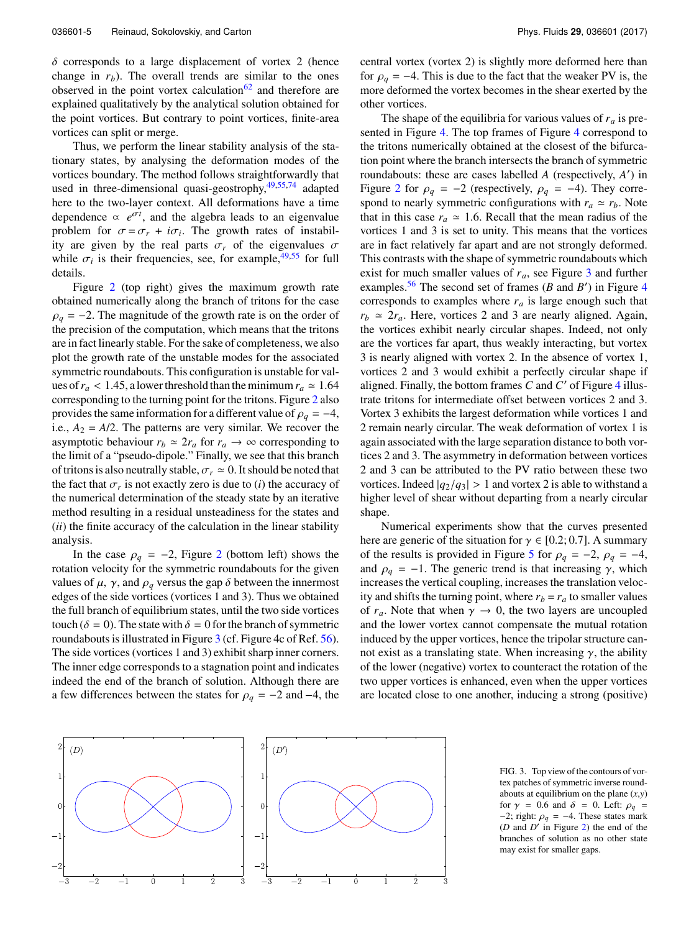$\delta$  corresponds to a large displacement of vortex 2 (hence change in  $r_b$ ). The overall trends are similar to the ones observed in the point vortex calculation<sup>[62](#page-14-23)</sup> and therefore are explained qualitatively by the analytical solution obtained for the point vortices. But contrary to point vortices, finite-area vortices can split or merge.

Thus, we perform the linear stability analysis of the stationary states, by analysing the deformation modes of the vortices boundary. The method follows straightforwardly that used in three-dimensional quasi-geostrophy, $49,55,74$  $49,55,74$  $49,55,74$  adapted here to the two-layer context. All deformations have a time dependence  $\propto e^{\sigma t}$ , and the algebra leads to an eigenvalue problem for  $\sigma = \sigma_r + i\sigma_i$ . The growth rates of instabil-<br>ity are given by the real parts  $\sigma$ , of the eigenvalues  $\sigma$ ity are given by the real parts  $\sigma_r$  of the eigenvalues  $\sigma$ while  $\sigma_i$  is their frequencies, see, for example, <sup>[49](#page-14-30)[,55](#page-14-31)</sup> for full details details.

Figure [2](#page-3-0) (top right) gives the maximum growth rate obtained numerically along the branch of tritons for the case  $\rho_q = -2$ . The magnitude of the growth rate is on the order of the precision of the computation, which means that the tritons are in fact linearly stable. For the sake of completeness, we also plot the growth rate of the unstable modes for the associated symmetric roundabouts. This configuration is unstable for values of  $r_a$  < 1.45, a lower threshold than the minimum  $r_a \approx 1.64$ corresponding to the turning point for the tritons. Figure [2](#page-3-0) also provides the same information for a different value of  $\rho_q = -4$ , i.e.,  $A_2 = A/2$ . The patterns are very similar. We recover the asymptotic behaviour  $r_b \approx 2r_a$  for  $r_a \to \infty$  corresponding to the limit of a "pseudo-dipole." Finally, we see that this branch of tritons is also neutrally stable,  $\sigma_r \simeq 0$ . It should be noted that the fact that  $\sigma_r$  is not exactly zero is due to  $(i)$  the accuracy of the numerical determination of the steady state by an iterative the numerical determination of the steady state by an iterative method resulting in a residual unsteadiness for the states and (*ii*) the finite accuracy of the calculation in the linear stability analysis.

In the case  $\rho_q = -2$  $\rho_q = -2$ , Figure 2 (bottom left) shows the rotation velocity for the symmetric roundabouts for the given values of  $\mu$ ,  $\gamma$ , and  $\rho_q$  versus the gap  $\delta$  between the innermost edges of the side vortices (vortices 1 and 3). Thus we obtained the full branch of equilibrium states, until the two side vortices touch ( $\delta = 0$ ). The state with  $\delta = 0$  for the branch of symmetric roundabouts is illustrated in Figure [3](#page-4-0) (cf. Figure 4c of Ref. [56\)](#page-14-26). The side vortices (vortices 1 and 3) exhibit sharp inner corners.<br>The inner edge corresponds to a stagnation point and indicates<br>indeed the end of the branch of solution. Although there are<br>a few differences between the s The inner edge corresponds to a stagnation point and indicates indeed the end of the branch of solution. Although there are

central vortex (vortex 2) is slightly more deformed here than for  $\rho_q = -4$ . This is due to the fact that the weaker PV is, the more deformed the vortex becomes in the shear exerted by the other vortices.

The shape of the equilibria for various values of  $r_a$  is presented in Figure [4.](#page-5-0) The top frames of Figure [4](#page-5-0) correspond to the tritons numerically obtained at the closest of the bifurcation point where the branch intersects the branch of symmetric roundabouts: these are cases labelled *A* (respectively, *A'*) in Figure [2](#page-3-0) for  $\rho_q = -2$  (respectively,  $\rho_q = -4$ ). They correspond to nearly symmetric configurations with  $r_a \approx r_b$ . Note that in this case  $r_a \approx 1.6$ . Recall that the mean radius of the vortices 1 and 3 is set to unity. This means that the vortices are in fact relatively far apart and are not strongly deformed. This contrasts with the shape of symmetric roundabouts which exist for much smaller values of *ra*, see Figure [3](#page-4-0) and further examples.<sup>[56](#page-14-26)</sup> The second set of frames ( $B$  and  $B'$ ) in Figure [4](#page-5-0) corresponds to examples where  $r_a$  is large enough such that  $r_b \approx 2r_a$ . Here, vortices 2 and 3 are nearly aligned. Again, the vortices exhibit nearly circular shapes. Indeed, not only are the vortices far apart, thus weakly interacting, but vortex 3 is nearly aligned with vortex 2. In the absence of vortex 1, vortices 2 and 3 would exhibit a perfectly circular shape if aligned. Finally, the bottom frames  $\overline{C}$  and  $\overline{C}'$  of Figure [4](#page-5-0) illustrate tritons for intermediate offset between vortices 2 and 3. Vortex 3 exhibits the largest deformation while vortices 1 and 2 remain nearly circular. The weak deformation of vortex 1 is again associated with the large separation distance to both vortices 2 and 3. The asymmetry in deformation between vortices 2 and 3 can be attributed to the PV ratio between these two vortices. Indeed  $|q_2/q_3| > 1$  and vortex 2 is able to withstand a higher level of shear without departing from a nearly circular shape.

Numerical experiments show that the curves presented here are generic of the situation for  $\gamma \in [0.2; 0.7]$ . A summary of the results is provided in Figure [5](#page-5-1) for  $\rho_q = -2$ ,  $\rho_q = -4$ , and  $\rho_q = -1$ . The generic trend is that increasing  $\gamma$ , which increases the vertical coupling, increases the translation velocity and shifts the turning point, where  $r_b = r_a$  to smaller values of  $r_a$ . Note that when  $\gamma \to 0$ , the two layers are uncoupled and the lower vortex cannot compensate the mutual rotation induced by the upper vortices, hence the tripolar structure cannot exist as a translating state. When increasing  $\gamma$ , the ability of the lower (negative) vortex to counteract the rotation of the two upper vortices is enhanced, even when the upper vortices are located close to one another, inducing a strong (positive)

<span id="page-4-0"></span>

FIG. 3. Top view of the contours of vortex patches of symmetric inverse roundabouts at equilibrium on the plane (*x*,*y*) for  $\gamma$  = 0.6 and  $\delta$  = 0. Left:  $\rho_q$  =  $-2$ ; right:  $\rho_q = -4$ . These states mark ( $D$  and  $D'$  in Figure [2\)](#page-3-0) the end of the branches of solution as no other state may exist for smaller gaps.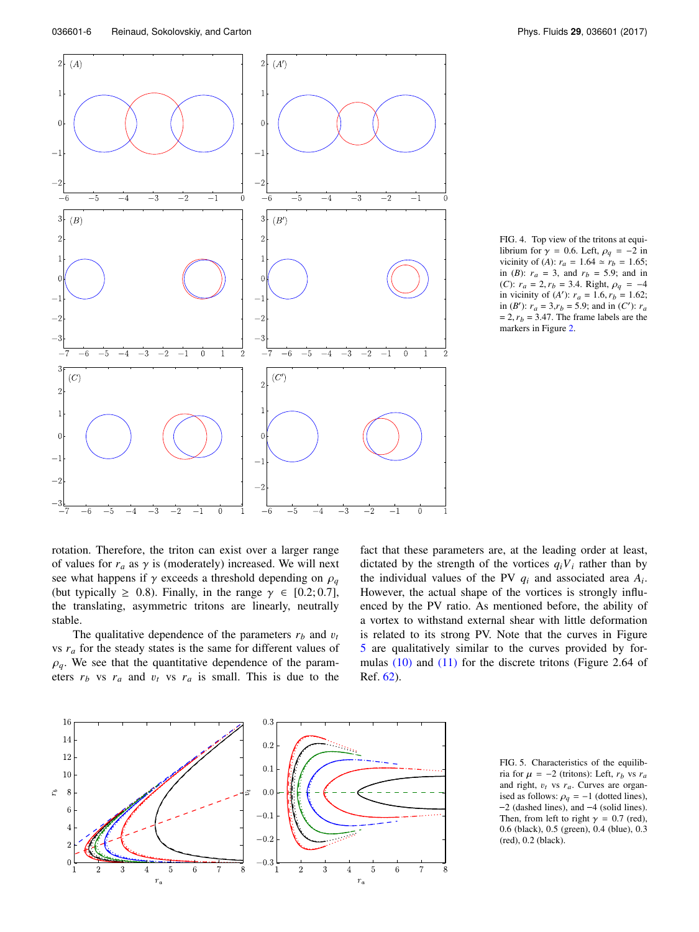<span id="page-5-0"></span>

FIG. 4. Top view of the tritons at equilibrium for  $\gamma = 0.6$ . Left,  $\rho_q = -2$  in vicinity of (*A*):  $r_a = 1.64 \approx r_b = 1.65$ ; in (*B*):  $r_a = 3$ , and  $r_b = 5.9$ ; and in (*C*):  $r_a = 2, r_b = 3.4$ . Right,  $\rho_q = -4$ in vicinity of  $(A')$ :  $r_a = 1.6, r_b = 1.62$ ; in (*B*<sup>'</sup>):  $r_a = 3, r_b = 5.9$ ; and in (*C*<sup>'</sup>):  $r_a$  $= 2, r_b = 3.47$ . The frame labels are the markers in Figure [2.](#page-3-0)

rotation. Therefore, the triton can exist over a larger range of values for  $r_a$  as  $\gamma$  is (moderately) increased. We will next see what happens if  $\gamma$  exceeds a threshold depending on  $\rho_q$ (but typically  $\geq$  0.8). Finally, in the range  $\gamma \in [0.2; 0.7]$ , the translating, asymmetric tritons are linearly, neutrally stable.

The qualitative dependence of the parameters  $r_b$  and  $v_t$ vs *r<sup>a</sup>* for the steady states is the same for different values of  $\rho_q$ . We see that the quantitative dependence of the parameters  $r_b$  vs  $r_a$  and  $v_t$  vs  $r_a$  is small. This is due to the

fact that these parameters are, at the leading order at least, dictated by the strength of the vortices  $q_iV_i$  rather than by the individual values of the PV  $q_i$  and associated area  $A_i$ . However, the actual shape of the vortices is strongly influenced by the PV ratio. As mentioned before, the ability of a vortex to withstand external shear with little deformation is related to its strong PV. Note that the curves in Figure [5](#page-5-1) are qualitatively similar to the curves provided by formulas [\(10\)](#page-3-1) and [\(11\)](#page-3-2) for the discrete tritons (Figure 2.64 of Ref. [62\)](#page-14-23).

<span id="page-5-1"></span>

FIG. 5. Characteristics of the equilibria for  $\mu = -2$  (tritons): Left,  $r_b$  vs  $r_a$ <br>and right, *n*<sub>b</sub> vs  $r_a$ . Curves are organand right,  $v_t$  vs  $r_a$ . Curves are organis for  $\mu = -2$  (tritons): Left,  $r_b$  so  $r_a$ <br>and right,  $v_t$  vs  $r_a$ . Curves are organ-<br>ised as follows:  $\rho_q = -1$  (dotted lines),<br>-2 (dashed lines), and -4 (solid lines). Then, from left to right  $\gamma = 0.7$  (red), 0.6 (black), 0.5 (green), 0.4 (blue), 0.3 (red), 0.2 (black).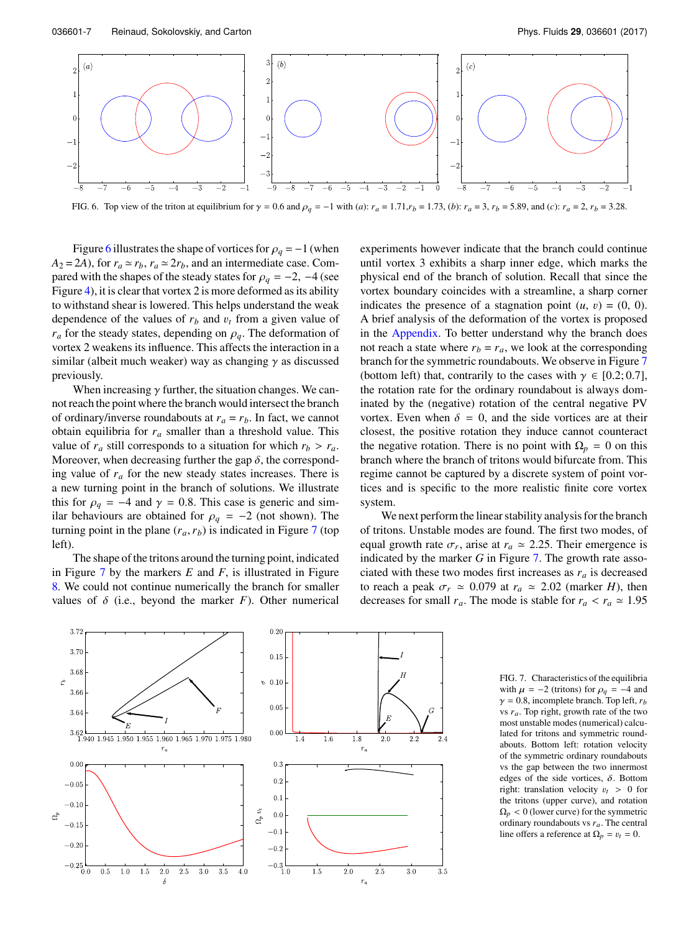<span id="page-6-0"></span>

FIG. 6. Top view of the triton at equilibrium for  $\gamma = 0.6$  and  $\rho_q = -1$  with (a):  $r_a = 1.71$ ,  $r_b = 1.73$ , (b):  $r_a = 3$ ,  $r_b = 5.89$ , and (c):  $r_a = 2$ ,  $r_b = 3.28$ .

Figure [6](#page-6-0) illustrates the shape of vortices for  $\rho_q = -1$  (when  $A_2 = 2A$ ), for  $r_a \approx r_b$ ,  $r_a \approx 2r_b$ , and an intermediate case. Compared with the shapes of the steady states for  $\rho_q = -2$ ,  $-4$  (see Figure [4\)](#page-5-0), it is clear that vortex 2 is more deformed as its ability to withstand shear is lowered. This helps understand the weak dependence of the values of  $r_b$  and  $v_t$  from a given value of  $r_a$  for the steady states, depending on  $\rho_q$ . The deformation of vortex 2 weakens its influence. This affects the interaction in a similar (albeit much weaker) way as changing  $\gamma$  as discussed previously.

When increasing  $\gamma$  further, the situation changes. We cannot reach the point where the branch would intersect the branch of ordinary/inverse roundabouts at  $r_a = r_b$ . In fact, we cannot obtain equilibria for *r<sup>a</sup>* smaller than a threshold value. This value of  $r_a$  still corresponds to a situation for which  $r_b > r_a$ . Moreover, when decreasing further the gap  $\delta$ , the corresponding value of  $r_a$  for the new steady states increases. There is a new turning point in the branch of solutions. We illustrate this for  $\rho_q = -4$  and  $\gamma = 0.8$ . This case is generic and similar behaviours are obtained for  $\rho_q = -2$  (not shown). The turning point in the plane  $(r_a, r_b)$  is indicated in Figure [7](#page-6-1) (top left).

The shape of the tritons around the turning point, indicated in Figure [7](#page-6-1) by the markers *E* and *F*, is illustrated in Figure [8.](#page-7-0) We could not continue numerically the branch for smaller values of  $\delta$  (i.e., beyond the marker *F*). Other numerical experiments however indicate that the branch could continue until vortex 3 exhibits a sharp inner edge, which marks the physical end of the branch of solution. Recall that since the vortex boundary coincides with a streamline, a sharp corner indicates the presence of a stagnation point  $(u, v) = (0, 0)$ . A brief analysis of the deformation of the vortex is proposed in the [Appendix.](#page-13-0) To better understand why the branch does not reach a state where  $r_b = r_a$ , we look at the corresponding branch for the symmetric roundabouts. We observe in Figure [7](#page-6-1) (bottom left) that, contrarily to the cases with  $\gamma \in [0.2; 0.7]$ , the rotation rate for the ordinary roundabout is always dominated by the (negative) rotation of the central negative PV vortex. Even when  $\delta = 0$ , and the side vortices are at their closest, the positive rotation they induce cannot counteract the negative rotation. There is no point with  $\Omega_p = 0$  on this branch where the branch of tritons would bifurcate from. This regime cannot be captured by a discrete system of point vortices and is specific to the more realistic finite core vortex system.

We next perform the linear stability analysis for the branch of tritons. Unstable modes are found. The first two modes, of equal growth rate  $\sigma_r$ , arise at  $r_a \approx 2.25$ . Their emergence is indicated by the marker G in Figure 7. The growth rate assoindicated by the marker *G* in Figure [7.](#page-6-1) The growth rate associated with these two modes first increases as  $r_a$  is decreased to reach a peak  $\sigma_r \simeq 0.079$  at  $r_a \simeq 2.02$  (marker *H*), then decreases for small  $r_a$ . The mode is stable for  $r_a < r_a \approx 1.95$ 

<span id="page-6-1"></span>

FIG. 7. Characteristics of the equilibria with  $\mu = -2$  (tritons) for  $\rho_a = -4$  and  $\gamma = 0.8$ , incomplete branch. Top left,  $r_b$ vs *ra*. Top right, growth rate of the two most unstable modes (numerical) calculated for tritons and symmetric roundabouts. Bottom left: rotation velocity of the symmetric ordinary roundabouts vs the gap between the two innermost edges of the side vortices,  $\delta$ . Bottom right: translation velocity  $v_t > 0$  for the tritons (upper curve), and rotation  $\Omega_p < 0$  (lower curve) for the symmetric ordinary roundabouts vs *ra*. The central line offers a reference at  $\Omega_p = v_t = 0$ .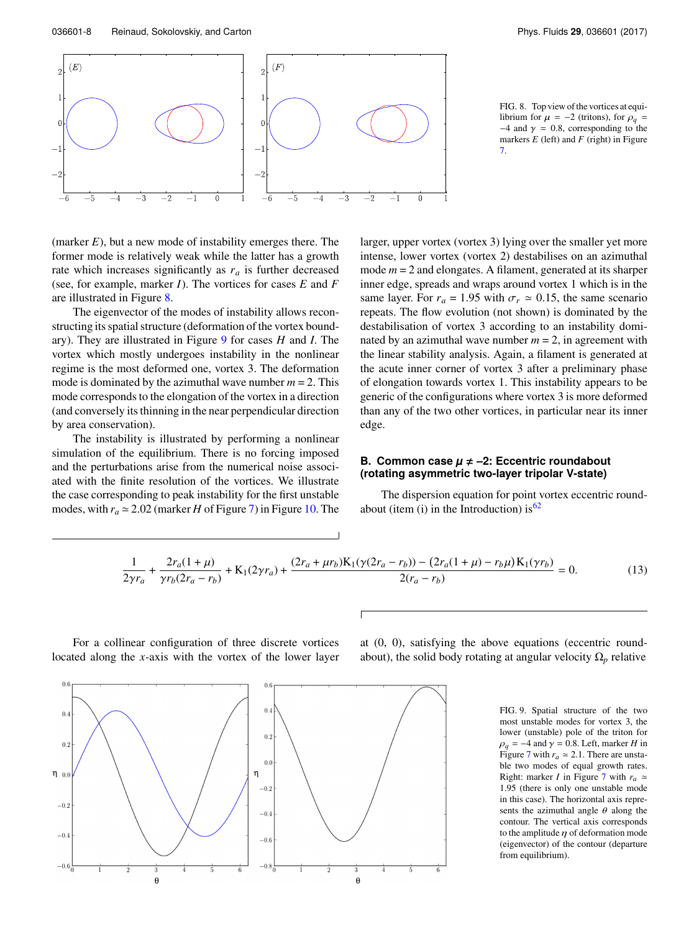<span id="page-7-0"></span>

FIG. 8. Top view of the vortices at equilibrium for  $\mu = -2$  (tritons), for  $\rho_q =$  $-4$  and  $\gamma$  = 0.8, corresponding to the markers *E* (left) and *F* (right) in Figure [7.](#page-6-1)

(marker *E*), but a new mode of instability emerges there. The former mode is relatively weak while the latter has a growth rate which increases significantly as  $r_a$  is further decreased (see, for example, marker *I*). The vortices for cases *E* and *F* are illustrated in Figure [8.](#page-7-0)

The eigenvector of the modes of instability allows reconstructing its spatial structure (deformation of the vortex boundary). They are illustrated in Figure [9](#page-7-1) for cases *H* and *I*. The vortex which mostly undergoes instability in the nonlinear regime is the most deformed one, vortex 3. The deformation mode is dominated by the azimuthal wave number  $m = 2$ . This mode corresponds to the elongation of the vortex in a direction (and conversely its thinning in the near perpendicular direction by area conservation).

The instability is illustrated by performing a nonlinear simulation of the equilibrium. There is no forcing imposed and the perturbations arise from the numerical noise associated with the finite resolution of the vortices. We illustrate the case corresponding to peak instability for the first unstable modes, with  $r_a \approx 2.02$  (marker *H* of Figure [7\)](#page-6-1) in Figure [10.](#page-8-0) The

larger, upper vortex (vortex 3) lying over the smaller yet more intense, lower vortex (vortex 2) destabilises on an azimuthal mode *m* = 2 and elongates. A filament, generated at its sharper inner edge, spreads and wraps around vortex 1 which is in the same layer. For  $r_a = 1.95$  with  $\sigma_r \approx 0.15$ , the same scenario repeats. The flow evolution (not shown) is dominated by the destabilisation of vortex 3 according to an instability dominated by an azimuthal wave number  $m = 2$ , in agreement with the linear stability analysis. Again, a filament is generated at the acute inner corner of vortex 3 after a preliminary phase of elongation towards vortex 1. This instability appears to be generic of the configurations where vortex 3 is more deformed than any of the two other vortices, in particular near its inner edge.

## **B. Common case**  $\mu \neq -2$ **: Eccentric roundabout (rotating asymmetric two-layer tripolar V-state)**

The dispersion equation for point vortex eccentric roundabout (item (i) in the Introduction) is  $62$ 

<span id="page-7-2"></span>
$$
\frac{1}{2\gamma r_a} + \frac{2r_a(1+\mu)}{\gamma r_b(2r_a - r_b)} + \mathcal{K}_1(2\gamma r_a) + \frac{(2r_a + \mu r_b)\mathcal{K}_1(\gamma(2r_a - r_b)) - (2r_a(1+\mu) - r_b\mu)\mathcal{K}_1(\gamma r_b)}{2(r_a - r_b)} = 0.
$$
(13)

For a collinear configuration of three discrete vortices located along the *x*-axis with the vortex of the lower layer

at (0, 0), satisfying the above equations (eccentric roundabout), the solid body rotating at angular velocity  $\Omega_p$  relative

> FIG. 9. Spatial structure of the two most unstable modes for vortex 3, the lower (unstable) pole of the triton for  $\rho_q = -4$  and  $\gamma = 0.8$ . Left, marker *H* in Figure [7](#page-6-1) with  $r_a \approx 2.1$ . There are unstable two modes of equal growth rates. Right: marker *I* in Figure [7](#page-6-1) with  $r_a \approx$ 1.95 (there is only one unstable mode in this case). The horizontal axis represents the azimuthal angle  $\theta$  along the contour. The vertical axis corresponds to the amplitude  $\eta$  of deformation mode (eigenvector) of the contour (departure from equilibrium).

<span id="page-7-1"></span>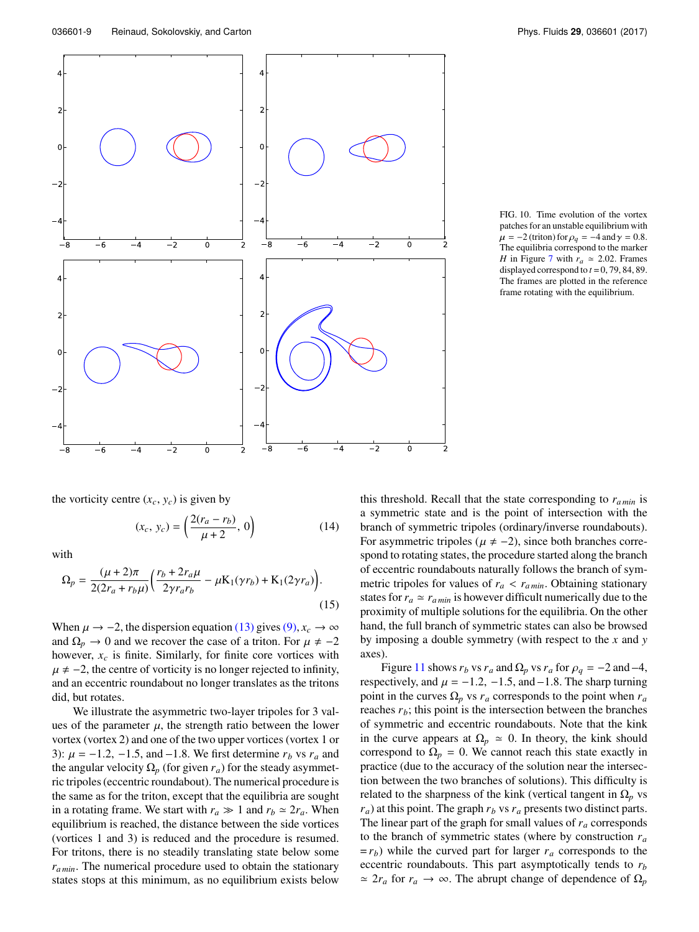<span id="page-8-0"></span>

FIG. 10. Time evolution of the vortex patches for an unstable equilibrium with  $\mu = -2$  (triton) for  $\rho_q = -4$  and  $\gamma = 0.8$ . The equilibria correspond to the marker *H* in Figure [7](#page-6-1) with  $r_a \approx 2.02$ . Frames displayed correspond to  $t = 0, 79, 84, 89$ . The frames are plotted in the reference frame rotating with the equilibrium.

the vorticity centre  $(x_c, y_c)$  is given by

$$
(x_c, y_c) = \left(\frac{2(r_a - r_b)}{\mu + 2}, 0\right)
$$
 (14)

with

$$
\Omega_p = \frac{(\mu + 2)\pi}{2(2r_a + r_b \mu)} \left( \frac{r_b + 2r_a \mu}{2\gamma r_a r_b} - \mu K_1(\gamma r_b) + K_1(2\gamma r_a) \right). \tag{15}
$$

When  $\mu \rightarrow -2$ , the dispersion equation [\(13\)](#page-7-2) gives [\(9\),](#page-2-1)  $x_c \rightarrow \infty$ and  $\Omega_p \to 0$  and we recover the case of a triton. For  $\mu \neq -2$ however,  $x_c$  is finite. Similarly, for finite core vortices with  $\mu \neq -2$ , the centre of vorticity is no longer rejected to infinity, and an eccentric roundabout no longer translates as the tritons did, but rotates.

We illustrate the asymmetric two-layer tripoles for 3 values of the parameter  $\mu$ , the strength ratio between the lower<br>vortex (vortex 2) and one of the two upper vortices (vortex 1 or vortex (vortex 2) and one of the two upper vortices (vortex 1 or We illustrate the asymmetric two-layer tripoles for 3 values of the parameter  $\mu$ , the strength ratio between the lower vortex (vortex 2) and one of the two upper vortices (vortex 1 or 3):  $\mu = -1.2, -1.5$ , and  $-1.8$ . We the angular velocity  $\Omega_p$  (for given  $r_a$ ) for the steady asymmetric tripoles (eccentric roundabout). The numerical procedure is the same as for the triton, except that the equilibria are sought in a rotating frame. We start with  $r_a \gg 1$  and  $r_b \simeq 2r_a$ . When equilibrium is reached, the distance between the side vortices (vortices 1 and 3) is reduced and the procedure is resumed. For tritons, there is no steadily translating state below some *ra min*. The numerical procedure used to obtain the stationary states stops at this minimum, as no equilibrium exists below

this threshold. Recall that the state corresponding to *ra min* is a symmetric state and is the point of intersection with the branch of symmetric tripoles (ordinary/inverse roundabouts). For asymmetric tripoles ( $\mu \neq -2$ ), since both branches correspond to rotating states, the procedure started along the branch of eccentric roundabouts naturally follows the branch of symmetric tripoles for values of  $r_a < r_{a,min}$ . Obtaining stationary states for  $r_a \simeq r_{a,min}$  is however difficult numerically due to the proximity of multiple solutions for the equilibria. On the other hand, the full branch of symmetric states can also be browsed by imposing a double symmetry (with respect to the *x* and *y* axes). Figure [11](#page-9-0) shows *r<sub>b</sub>* vs *r<sub>a</sub>* and  $\Omega_p$  vs *r<sub>a</sub>* for  $\rho_q = -2$  and  $\gamma$  and  $\mu = -1.2$ ,  $\Omega_p$  and  $\Omega_p$  vs *r<sub>a</sub>* for  $\rho_q = -2$  and  $-4$ , exityply and  $\mu = -1.2$ ,  $-1.5$ , and  $-1.8$ . The sharp turning

by imposing a double symmetry (with respect to the x and y axes).<br>Figure 11 shows  $r_b$  vs  $r_a$  and  $\Omega_p$  vs  $r_a$  for  $\rho_q = -2$  and -4, respectively, and  $\mu = -1.2, -1.5$ , and -1.8. The sharp turning point in the curves O, ys point in the curves  $\Omega_p$  vs  $r_a$  corresponds to the point when  $r_a$ reaches  $r_b$ ; this point is the intersection between the branches of symmetric and eccentric roundabouts. Note that the kink in the curve appears at  $\Omega_p \simeq 0$ . In theory, the kink should correspond to  $\Omega_p = 0$ . We cannot reach this state exactly in practice (due to the accuracy of the solution near the intersection between the two branches of solutions). This difficulty is related to the sharpness of the kink (vertical tangent in  $\Omega_p$  vs *ra*) at this point. The graph *r<sup>b</sup>* vs *r<sup>a</sup>* presents two distinct parts. The linear part of the graph for small values of *r<sup>a</sup>* corresponds to the branch of symmetric states (where by construction *r<sup>a</sup>*  $= r_b$ ) while the curved part for larger  $r_a$  corresponds to the eccentric roundabouts. This part asymptotically tends to *r<sup>b</sup>*  $\approx 2r_a$  for  $r_a \to \infty$ . The abrupt change of dependence of  $\Omega_p$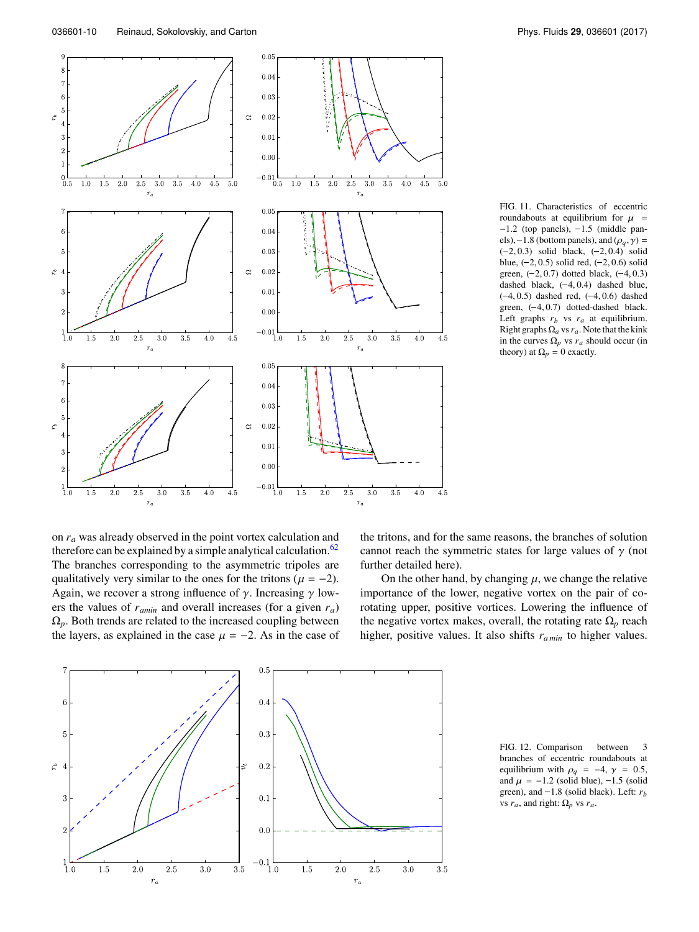<span id="page-9-0"></span>

FIG. 11. Characteristics of eccentric FIG. 11. Characteristics of eccentric roundabouts at equilibrium for  $\mu$  = -1.2 (top panels), -1.5 (middle pan-FIG. 11. Characteristics of eccentric<br>roundabouts at equilibrium for  $\mu =$ -1.2 (top panels), -1.5 (middle pan-<br>els), -1.8 (bottom panels), and ( $\rho_q$ ,  $\gamma$ ) =<br>(-2, 0.3) solid black, (-2, 0.4) solid -1.2 (top panels), -1.5 (middle panels), -1.8 (bottom panels), and  $(\rho_q, \gamma)$  = (-2, 0.3) solid black, (-2, 0.4) solid blue, (-2, 0.5) solid red, (-2, 0.6) solid els),  $-1.2$  (by pamens), and  $(\rho_q, \gamma) = (-2, 0.3)$  solid black,  $(-2, 0.4)$  solid blue,  $(-2, 0.5)$  solid red,  $(-2, 0.6)$  solid green,  $(-2, 0.7)$  dotted black,  $(-4, 0.3)$  $\begin{pmatrix} -2, 0.3$ ) solid black,  $(-2, 0.4)$  solid<br>blue,  $(-2, 0.5)$  solid red,  $(-2, 0.6)$  solid<br>green,  $(-2, 0.7)$  dotted black,  $(-4, 0.3)$ <br>dashed black,  $(-4, 0.4)$  dashed blue, ( $-2, 0.5$ ) solid red, ( $-2, 0.6$ ) solid<br>green,  $(-2, 0.7)$  dotted black,  $(-4, 0.3)$ <br>dashed black,  $(-4, 0.4)$  dashed blue,<br> $(-4, 0.5)$  dashed red,  $(-4, 0.6)$  dashed enen,  $(-2, 0.7)$  stort cet,  $(-4, 0.3)$ <br>dashed black,  $(-4, 0.4)$  dashed blue,<br> $(-4, 0.5)$  dashed red,  $(-4, 0.6)$  dashed<br>green,  $(-4, 0.7)$  dotted-dashed black. Left graphs  $r_b$  vs  $r_a$  at equilibrium. Right graphsΩ*<sup>a</sup>* vs*ra*. Note that the kink in the curves  $\Omega_p$  vs  $r_a$  should occur (in theory) at  $\Omega_p = 0$  exactly.

on *r<sup>a</sup>* was already observed in the point vortex calculation and therefore can be explained by a simple analytical calculation.<sup>[62](#page-14-23)</sup> The branches corresponding to the asymmetric tripoles are qualitatively very similar to the ones for the tritons ( $\mu = -2$ ). Again, we recover a strong influence of  $\gamma$ . Increasing  $\gamma$  lowers the values of *ramin* and overall increases (for a given *ra*)  $\Omega_p$ . Both trends are related to the increased coupling between the layers, as explained in the case  $\mu = -2$ . As in the case of

the tritons, and for the same reasons, the branches of solution cannot reach the symmetric states for large values of  $\gamma$  (not further detailed here).

On the other hand, by changing  $\mu$ , we change the relative importance of the lower, negative vortex on the pair of corotating upper, positive vortices. Lowering the influence of the negative vortex makes, overall, the rotating rate  $\Omega_p$  reach higher, positive values. It also shifts *ra min* to higher values.

<span id="page-9-1"></span> $\epsilon$  $0.4$  $0.3$ 5  $r_b\,$  $0.2$ 3  $0.1$ 2  $0.0$  $-0.1$ <sub>1.0</sub>  $\overline{1.0}$  $1.5\,$  $2.0\,$  $2.5\,$  $3.0\,$  $3.5\,$  $1.5\,$  $2.0\,$  $2.5\,$  $3.0\,$  $3.5\,$  $r_a$  $r_a$ 

 $0.\overline{5}$ 

FIG. 12. Comparison between 3 branches of eccentric roundabouts at equilibrium with  $\rho_q = -4$ ,  $\gamma = 0.5$ , FIG. 12. Comparison between 3<br>branches of eccentric roundabouts at<br>equilibrium with  $\rho_q = -4$ ,  $\gamma = 0.5$ ,<br>and  $\mu = -1.2$  (solid blue), -1.5 (solid<br>green), and -1.8 (solid black). Left: *r<sub>b</sub>* vs  $r_a$ , and right:  $\Omega_p$  vs  $r_a$ .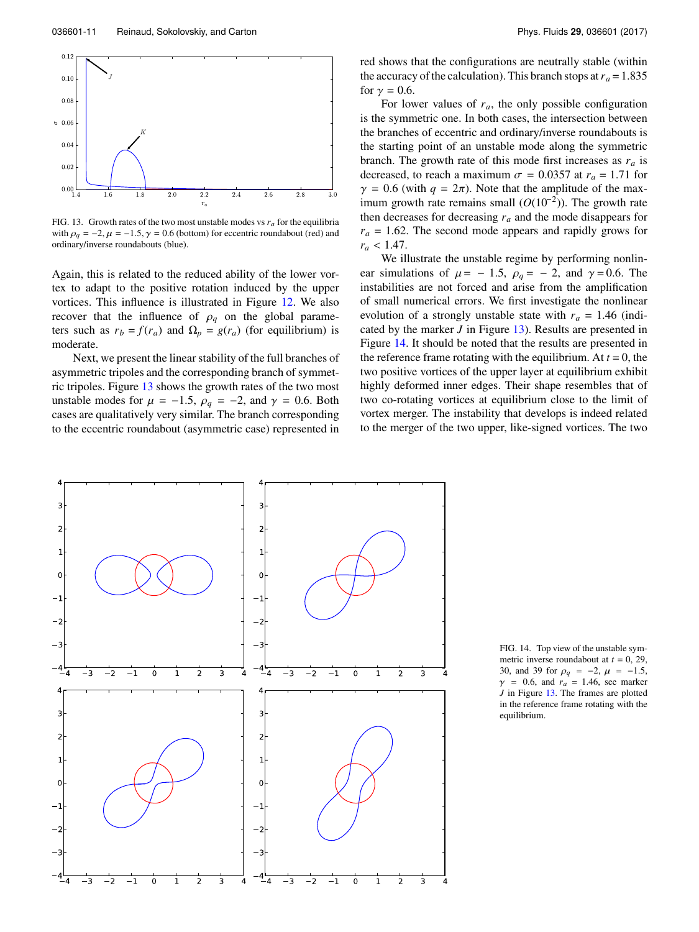<span id="page-10-0"></span>

FIG. 13. Growth rates of the two most unstable modes vs  $r_a$  for the equilibria with  $\rho_q = -2$ ,  $\mu = -1.5$ ,  $\gamma = 0.6$  (bottom) for eccentric roundabout (red) and ordinary/inverse roundabouts (blue).

Again, this is related to the reduced ability of the lower vortex to adapt to the positive rotation induced by the upper vortices. This influence is illustrated in Figure [12.](#page-9-1) We also recover that the influence of  $\rho_q$  on the global parameters such as  $r_b = f(r_a)$  and  $\Omega_p = g(r_a)$  (for equilibrium) is moderate.

Next, we present the linear stability of the full branches of asymmetric tripoles and the corresponding branch of symmetric tripoles. Figure [13](#page-10-0) shows the growth rates of the two most unstable modes for  $\mu = -1.5$ ,  $\rho_q = -2$ , and  $\gamma = 0.6$ . Both cases are qualitatively very similar. The branch corresponding to the eccentric roundabout (asymmetric case) represented in

red shows that the configurations are neutrally stable (within the accuracy of the calculation). This branch stops at  $r_a = 1.835$ for  $\gamma = 0.6$ .

For lower values of  $r_a$ , the only possible configuration is the symmetric one. In both cases, the intersection between the branches of eccentric and ordinary/inverse roundabouts is the starting point of an unstable mode along the symmetric branch. The growth rate of this mode first increases as *r<sup>a</sup>* is decreased, to reach a maximum  $\sigma = 0.0357$  at  $r_a = 1.71$  for  $\gamma = 0.6$  (with  $q = 2\pi$ ). Note that the amplitude of the maximum growth rate remains small ( $O(10^{-2})$ ). The growth rate  $\gamma = 0.6$  (with  $q = 2\pi$ ). Note that the amplitude of the maximum growth rate remains small  $(O(10^{-2}))$ . The growth rate then decreases for decreasing  $r_a$  and the mode disappears for  $r_a = 1.62$ . The second mode appears and rapidly grows for  $r_a < 1.47$ .

We illustrate the unstable regime by performing nonlinear simulations of  $\mu$  = -1.5,  $\rho_q$  = -2, and  $\gamma$  = 0.6. The instabilities are not forced and arise from the amplification of small numerical errors. We first investigate the nonlinear evolution of a strongly unstable state with  $r_a = 1.46$  (indicated by the marker *J* in Figure [13\)](#page-10-0). Results are presented in Figure [14.](#page-10-1) It should be noted that the results are presented in the reference frame rotating with the equilibrium. At  $t = 0$ , the two positive vortices of the upper layer at equilibrium exhibit highly deformed inner edges. Their shape resembles that of two co-rotating vortices at equilibrium close to the limit of vortex merger. The instability that develops is indeed related to the merger of the two upper, like-signed vortices. The two

<span id="page-10-1"></span>

FIG. 14. Top view of the unstable symmetric inverse roundabout at  $t = 0$ , 29, 30, and 39 for  $\rho_q = -2$ ,  $\mu = -1.5$ ,  $\gamma$  = 0.6, and  $r_a$  = 1.46, see marker *J* in Figure [13.](#page-10-0) The frames are plotted in the reference frame rotating with the equilibrium.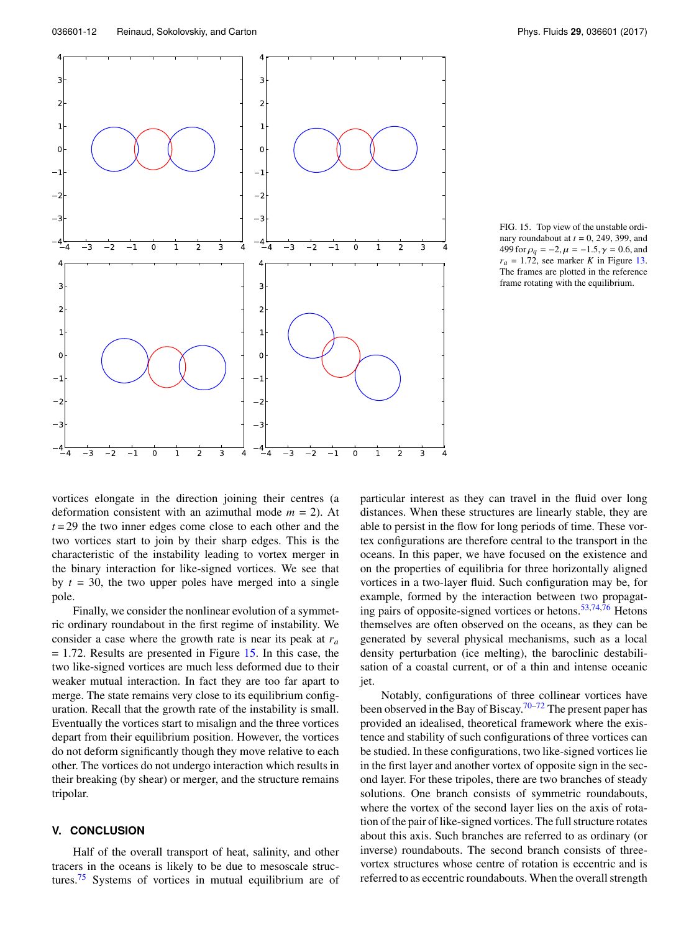<span id="page-11-0"></span>

FIG. 15. Top view of the unstable ordinary roundabout at *t* = 0, 249, 399, and 499 for  $\rho_q = -2$ ,  $\mu = -1.5$ ,  $\gamma = 0.6$ , and  $r_a = 1.72$ , see marker *K* in Figure [13.](#page-10-0) The frames are plotted in the reference frame rotating with the equilibrium.

vortices elongate in the direction joining their centres (a deformation consistent with an azimuthal mode *m* = 2). At  $t = 29$  the two inner edges come close to each other and the two vortices start to join by their sharp edges. This is the characteristic of the instability leading to vortex merger in the binary interaction for like-signed vortices. We see that by  $t = 30$ , the two upper poles have merged into a single pole.

Finally, we consider the nonlinear evolution of a symmetric ordinary roundabout in the first regime of instability. We consider a case where the growth rate is near its peak at *r<sup>a</sup>* = 1.72. Results are presented in Figure [15.](#page-11-0) In this case, the two like-signed vortices are much less deformed due to their weaker mutual interaction. In fact they are too far apart to merge. The state remains very close to its equilibrium configuration. Recall that the growth rate of the instability is small. Eventually the vortices start to misalign and the three vortices depart from their equilibrium position. However, the vortices do not deform significantly though they move relative to each other. The vortices do not undergo interaction which results in their breaking (by shear) or merger, and the structure remains tripolar.

## **V. CONCLUSION**

Half of the overall transport of heat, salinity, and other tracers in the oceans is likely to be due to mesoscale struc-tures.<sup>[75](#page-15-8)</sup> Systems of vortices in mutual equilibrium are of

particular interest as they can travel in the fluid over long distances. When these structures are linearly stable, they are able to persist in the flow for long periods of time. These vortex configurations are therefore central to the transport in the oceans. In this paper, we have focused on the existence and on the properties of equilibria for three horizontally aligned vortices in a two-layer fluid. Such configuration may be, for example, formed by the interaction between two propagating pairs of opposite-signed vortices or hetons.[53,](#page-14-32)[74,](#page-15-7)[76](#page-15-9) Hetons themselves are often observed on the oceans, as they can be generated by several physical mechanisms, such as a local density perturbation (ice melting), the baroclinic destabilisation of a coastal current, or of a thin and intense oceanic jet.

Notably, configurations of three collinear vortices have been observed in the Bay of Biscay.<sup>[70–](#page-15-4)[72](#page-15-5)</sup> The present paper has provided an idealised, theoretical framework where the existence and stability of such configurations of three vortices can be studied. In these configurations, two like-signed vortices lie in the first layer and another vortex of opposite sign in the second layer. For these tripoles, there are two branches of steady solutions. One branch consists of symmetric roundabouts, where the vortex of the second layer lies on the axis of rotation of the pair of like-signed vortices. The full structure rotates about this axis. Such branches are referred to as ordinary (or inverse) roundabouts. The second branch consists of threevortex structures whose centre of rotation is eccentric and is referred to as eccentric roundabouts. When the overall strength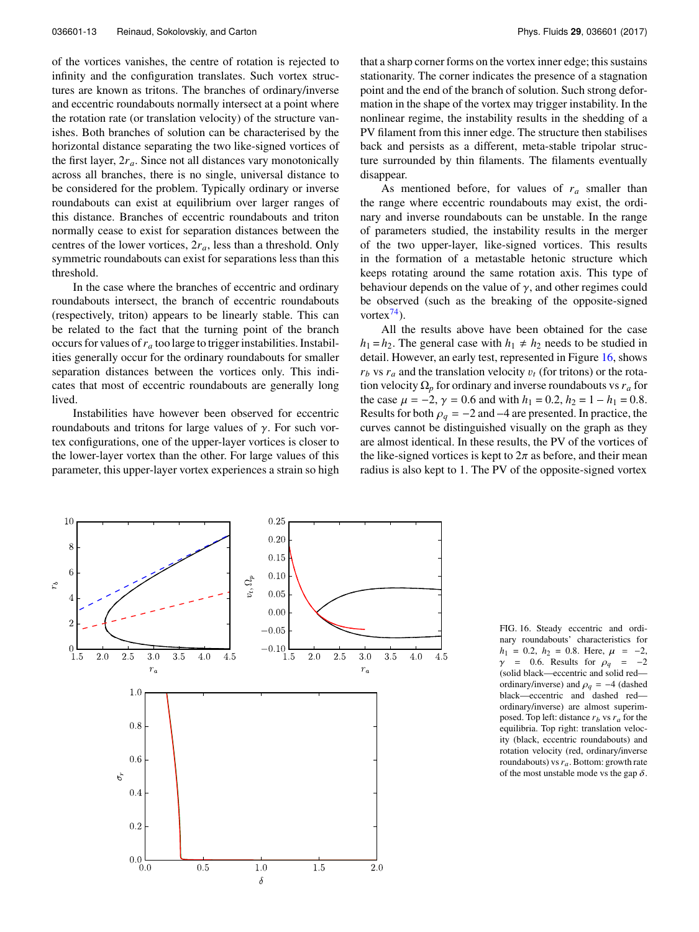of the vortices vanishes, the centre of rotation is rejected to infinity and the configuration translates. Such vortex structures are known as tritons. The branches of ordinary/inverse and eccentric roundabouts normally intersect at a point where the rotation rate (or translation velocity) of the structure vanishes. Both branches of solution can be characterised by the horizontal distance separating the two like-signed vortices of the first layer, 2*ra*. Since not all distances vary monotonically across all branches, there is no single, universal distance to be considered for the problem. Typically ordinary or inverse roundabouts can exist at equilibrium over larger ranges of this distance. Branches of eccentric roundabouts and triton normally cease to exist for separation distances between the centres of the lower vortices, 2*ra*, less than a threshold. Only symmetric roundabouts can exist for separations less than this threshold.

In the case where the branches of eccentric and ordinary roundabouts intersect, the branch of eccentric roundabouts (respectively, triton) appears to be linearly stable. This can be related to the fact that the turning point of the branch occurs for values of*r<sup>a</sup>* too large to trigger instabilities. Instabilities generally occur for the ordinary roundabouts for smaller separation distances between the vortices only. This indicates that most of eccentric roundabouts are generally long lived.

Instabilities have however been observed for eccentric roundabouts and tritons for large values of γ. For such vortex configurations, one of the upper-layer vortices is closer to the lower-layer vortex than the other. For large values of this parameter, this upper-layer vortex experiences a strain so high

that a sharp corner forms on the vortex inner edge; this sustains stationarity. The corner indicates the presence of a stagnation point and the end of the branch of solution. Such strong deformation in the shape of the vortex may trigger instability. In the nonlinear regime, the instability results in the shedding of a PV filament from this inner edge. The structure then stabilises back and persists as a different, meta-stable tripolar structure surrounded by thin filaments. The filaments eventually disappear.

As mentioned before, for values of  $r_a$  smaller than the range where eccentric roundabouts may exist, the ordinary and inverse roundabouts can be unstable. In the range of parameters studied, the instability results in the merger of the two upper-layer, like-signed vortices. This results in the formation of a metastable hetonic structure which keeps rotating around the same rotation axis. This type of behaviour depends on the value of  $\gamma$ , and other regimes could be observed (such as the breaking of the opposite-signed vortex $^{74}$  $^{74}$  $^{74}$ ).

All the results above have been obtained for the case  $h_1 = h_2$ . The general case with  $h_1 \neq h_2$  needs to be studied in detail. However, an early test, represented in Figure [16,](#page-12-0) shows  $r_b$  vs  $r_a$  and the translation velocity  $v_t$  (for tritons) or the rotation velocity  $\Omega_p$  for ordinary and inverse roundabouts vs  $r_a$  for the case  $\mu = -2$  $r_b$  vs  $r_a$  and the translation velocity  $v_t$  (for tritons) or the rotation velocity  $\Omega_p$  for ordinary and inverse roundabouts vs  $r_a$  for the case  $\mu = -2$ ,  $\gamma = 0.6$  and with  $h_1 = 0.2$ ,  $h_2 = 1 - h_1 = 0.8$ .<br>Results for both  $\rho_q = -2$  and  $-4$  are presented. In practice, the curves cannot be distinguished visually on the graph as they are almost identical. In these results, the PV of the vortices of the like-signed vortices is kept to  $2\pi$  as before, and their mean radius is also kept to 1. The PV of the opposite-signed vortex

<span id="page-12-0"></span>

FIG. 16. Steady eccentric and ordinary roundabouts' characteristics for  $h_1 = 0.2$ ,  $h_2 = 0.8$ . Here,  $\mu = -2$ ,  $\gamma$  = 0.6. Results for  $\rho_q$  = -2 (solid black—eccentric and solid red ordinary/inverse) and  $\rho_q = -4$  (dashed black—eccentric and dashed redordinary/inverse) are almost superimposed. Top left: distance *r<sup>b</sup>* vs *r<sup>a</sup>* for the equilibria. Top right: translation velocity (black, eccentric roundabouts) and rotation velocity (red, ordinary/inverse roundabouts) vs*ra*. Bottom: growth rate of the most unstable mode vs the gap  $\delta$ .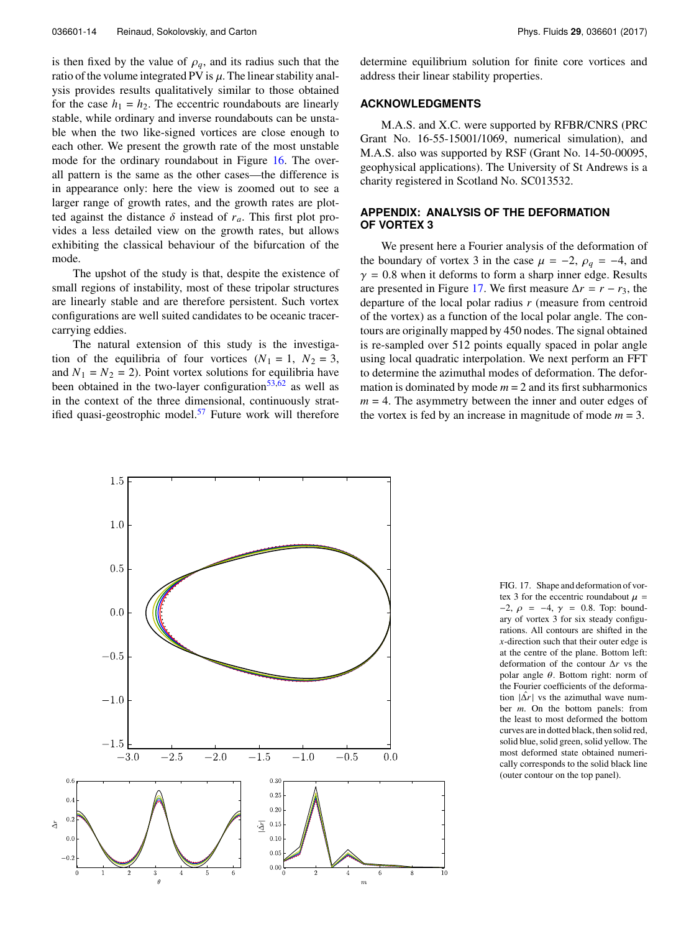is then fixed by the value of  $\rho_q$ , and its radius such that the ratio of the volume integrated PV is  $\mu$ . The linear stability analysis provides results qualitatively similar to those obtained for the case  $h_1 = h_2$ . The eccentric roundabouts are linearly stable, while ordinary and inverse roundabouts can be unstable when the two like-signed vortices are close enough to each other. We present the growth rate of the most unstable mode for the ordinary roundabout in Figure [16.](#page-12-0) The overall pattern is the same as the other cases—the difference is in appearance only: here the view is zoomed out to see a larger range of growth rates, and the growth rates are plotted against the distance  $\delta$  instead of  $r_a$ . This first plot provides a less detailed view on the growth rates, but allows exhibiting the classical behaviour of the bifurcation of the mode.

The upshot of the study is that, despite the existence of small regions of instability, most of these tripolar structures are linearly stable and are therefore persistent. Such vortex configurations are well suited candidates to be oceanic tracercarrying eddies.

The natural extension of this study is the investigation of the equilibria of four vortices  $(N_1 = 1, N_2 = 3,$ and  $N_1 = N_2 = 2$ ). Point vortex solutions for equilibria have been obtained in the two-layer configuration<sup>[53,](#page-14-32)[62](#page-14-23)</sup> as well as in the context of the three dimensional, continuously stratified quasi-geostrophic model. $57$  Future work will therefore determine equilibrium solution for finite core vortices and address their linear stability properties.

## **ACKNOWLEDGMENTS**

M.A.S. and X.C. were supported by RFBR/CNRS (PRC Grant No. 16-55-15001/1069, numerical simulation), and M.A.S. also was supported by RSF (Grant No. 14-50-00095, geophysical applications). The University of St Andrews is a charity registered in Scotland No. SC013532.

## <span id="page-13-0"></span>**APPENDIX: ANALYSIS OF THE DEFORMATION OF VORTEX 3**

We present here a Fourier analysis of the deformation of the boundary of vortex 3 in the case  $\mu = -2$ ,  $\rho_q = -4$ , and  $\gamma = 0.8$  when it deforms to form a sharp inner edge. Results are presented in Figure [17.](#page-13-1) We first measure  $\Delta r = r - r_3$ , the departure of the local polar radius *r* (measure from centroid of the vortex) as a function of the local polar angle. The contours are originally mapped by 450 nodes. The signal obtained is re-sampled over 512 points equally spaced in polar angle using local quadratic interpolation. We next perform an FFT to determine the azimuthal modes of deformation. The deformation is dominated by mode  $m = 2$  and its first subharmonics  $m = 4$ . The asymmetry between the inner and outer edges of the vortex is fed by an increase in magnitude of mode  $m = 3$ .

<span id="page-13-1"></span>

FIG. 17. Shape and deformation of vortex 3 for the eccentric roundabout  $\mu =$  $-2$ ,  $ρ = -4$ ,  $γ = 0.8$ . Top: boundary of vortex 3 for six steady configurations. All contours are shifted in the *x*-direction such that their outer edge is at the centre of the plane. Bottom left: deformation of the contour ∆*r* vs the polar angle  $\theta$ . Bottom right: norm of the Fourier coefficients of the deformation  $|\Delta r|$  vs the azimuthal wave number *m*. On the bottom panels: from the least to most deformed the bottom curves are in dotted black, then solid red, solid blue, solid green, solid yellow. The most deformed state obtained numerically corresponds to the solid black line (outer contour on the top panel).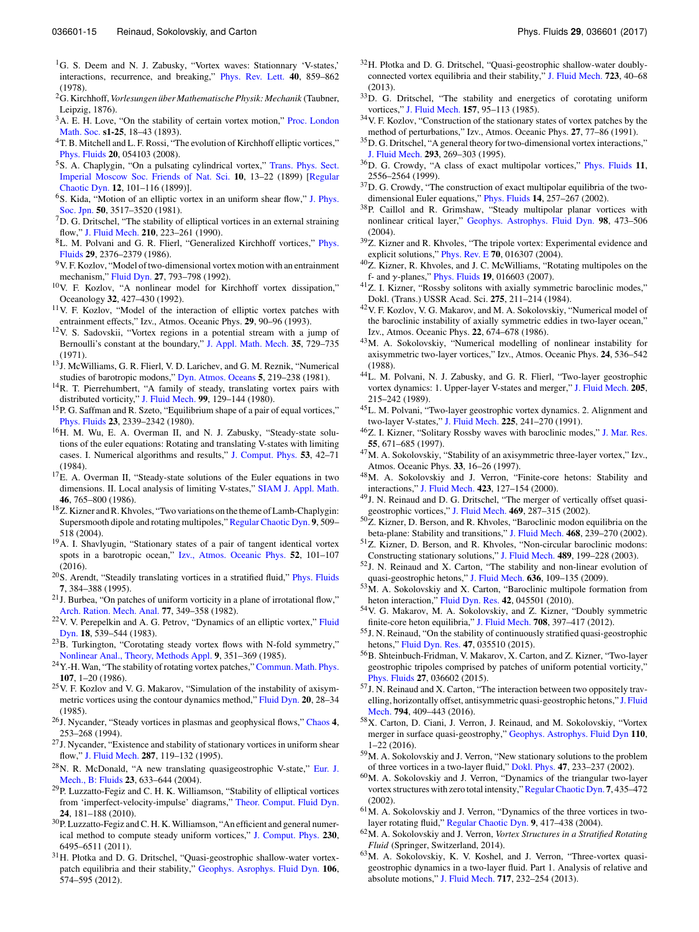- <span id="page-14-0"></span><sup>1</sup>G. S. Deem and N. J. Zabusky, "Vortex waves: Stationnary 'V-states,' interactions, recurrence, and breaking," [Phys. Rev. Lett.](http://dx.doi.org/10.1103/physrevlett.40.859) **40**, 859–862 (1978).
- <span id="page-14-1"></span><sup>2</sup>G. Kirchhoff, Vorlesungen über Mathematische Physik: Mechanik (Taubner, Leipzig, 1876).
- <span id="page-14-2"></span><sup>3</sup>A. E. H. Love, "On the stability of certain vortex motion," [Proc. London](http://dx.doi.org/10.1112/plms/s1-25.1.18) [Math. Soc.](http://dx.doi.org/10.1112/plms/s1-25.1.18) **s1-25**, 18–43 (1893).
- <span id="page-14-3"></span><sup>4</sup>T. B. Mitchell and L. F. Rossi, "The evolution of Kirchhoff elliptic vortices," [Phys. Fluids](http://dx.doi.org/10.1063/1.2912991) **20**, 054103 (2008).
- <span id="page-14-4"></span><sup>5</sup>S. A. Chaplygin, "On a pulsating cylindrical vortex," [Trans. Phys. Sect.](http://dx.doi.org/10.1134/s1560354707010091) [Imperial Moscow Soc. Friends of Nat. Sci.](http://dx.doi.org/10.1134/s1560354707010091) **10**, 13–22 (1899) [\[Regular](http://dx.doi.org/10.1134/s1560354707010091) [Chaotic Dyn.](http://dx.doi.org/10.1134/s1560354707010091) **12**, 101–116 (1899)].
- <span id="page-14-5"></span><sup>6</sup>S. Kida, "Motion of an elliptic vortex in an uniform shear flow," [J. Phys.](http://dx.doi.org/10.1143/jpsj.50.3517) [Soc. Jpn.](http://dx.doi.org/10.1143/jpsj.50.3517) **50**, 3517–3520 (1981).
- <span id="page-14-6"></span><sup>7</sup>D. G. Dritschel, "The stability of elliptical vortices in an external straining flow," [J. Fluid Mech.](http://dx.doi.org/10.1017/s0022112090001276) **210**, 223–261 (1990).
- <span id="page-14-7"></span><sup>8</sup>L. M. Polvani and G. R. Flierl, "Generalized Kirchhoff vortices," [Phys.](http://dx.doi.org/10.1063/1.865530) [Fluids](http://dx.doi.org/10.1063/1.865530) **29**, 2376–2379 (1986).
- <span id="page-14-8"></span><sup>9</sup>V. F. Kozlov, "Model of two-dimensional vortex motion with an entrainment mechanism," [Fluid Dyn.](http://dx.doi.org/10.1007/bf01051355) **27**, 793–798 (1992).
- <sup>10</sup>V. F. Kozlov, "A nonlinear model for Kirchhoff vortex dissipation," Oceanology **32**, 427–430 (1992).
- <span id="page-14-9"></span><sup>11</sup>V. F. Kozlov, "Model of the interaction of elliptic vortex patches with entrainment effects," Izv., Atmos. Oceanic Phys. **29**, 90–96 (1993).
- <span id="page-14-10"></span><sup>12</sup>V. S. Sadovskii, "Vortex regions in a potential stream with a jump of Bernoulli's constant at the boundary," [J. Appl. Math. Mech.](http://dx.doi.org/10.1016/0021-8928(71)90070-0) **35**, 729–735 (1971).
- <span id="page-14-11"></span><sup>13</sup>J. McWilliams, G. R. Flierl, V. D. Larichev, and G. M. Reznik, "Numerical studies of barotropic modons," [Dyn. Atmos. Oceans](http://dx.doi.org/10.1016/0377-0265(81)90001-4) **5**, 219–238 (1981).
- <span id="page-14-28"></span><sup>14</sup>R. T. Pierrehumbert, "A family of steady, translating vortex pairs with distributed vorticity," [J. Fluid Mech.](http://dx.doi.org/10.1017/s0022112080000559) **99**, 129–144 (1980).
- <sup>15</sup>P. G. Saffman and R. Szeto, "Equilibrium shape of a pair of equal vortices," [Phys. Fluids](http://dx.doi.org/10.1063/1.862935) **23**, 2339–2342 (1980).
- <span id="page-14-13"></span><sup>16</sup>H. M. Wu, E. A. Overman II, and N. J. Zabusky, "Steady-state solutions of the euler equations: Rotating and translating V-states with limiting cases. I. Numerical algorithms and results," [J. Comput. Phys.](http://dx.doi.org/10.1016/0021-9991(84)90051-2) **53**, 42–71 (1984).
- <span id="page-14-14"></span> $17E$ . A. Overman II, "Steady-state solutions of the Euler equations in two dimensions. II. Local analysis of limiting V-states," [SIAM J. Appl. Math.](http://dx.doi.org/10.1137/0146049) **46**, 765–800 (1986).
- <sup>18</sup>Z. Kizner and R. Khvoles, "Two variations on the theme of Lamb-Chaplygin: Supersmooth dipole and rotating multipoles," [Regular Chaotic Dyn.](http://dx.doi.org/10.1070/rd2004v009n04abeh000293) **9**, 509– 518 (2004).
- <span id="page-14-12"></span><sup>19</sup>A. I. Shavlyugin, "Stationary states of a pair of tangent identical vortex spots in a barotropic ocean," [Izv., Atmos. Oceanic Phys.](http://dx.doi.org/10.1134/s0001433815060109) **52**, 101–107 (2016).
- <span id="page-14-15"></span><sup>20</sup>S. Arendt, "Steadily translating vortices in a stratified fluid," [Phys. Fluids](http://dx.doi.org/10.1063/1.868636) **7**, 384–388 (1995).
- $21$ J. Burbea, "On patches of uniform vorticity in a plane of irrotational flow," [Arch. Ration. Mech. Anal.](http://dx.doi.org/10.1007/bf00280642) **77**, 349–358 (1982).
- <sup>22</sup>V. V. Perepelkin and A. G. Petrov, "Dynamics of an elliptic vortex," [Fluid](http://dx.doi.org/10.1007/bf01090617) [Dyn.](http://dx.doi.org/10.1007/bf01090617) **18**, 539–544 (1983).
- <sup>23</sup>B. Turkington, "Corotating steady vortex flows with N-fold symmetry," [Nonlinear Anal., Theory, Methods Appl.](http://dx.doi.org/10.1016/0362-546x(85)90059-8) **9**, 351–369 (1985).
- <sup>24</sup> Y.-H. Wan, "The stability of rotating vortex patches," [Commun. Math. Phys.](http://dx.doi.org/10.1007/bf01206950) **107**, 1–20 (1986).
- <sup>25</sup>V. F. Kozlov and V. G. Makarov, "Simulation of the instability of axisymmetric vortices using the contour dynamics method," [Fluid Dyn.](http://dx.doi.org/10.1007/bf01097358) **20**, 28–34 (1985).
- <sup>26</sup>J. Nycander, "Steady vortices in plasmas and geophysical flows," [Chaos](http://dx.doi.org/10.1063/1.166006) **4**, 253–268 (1994).
- <sup>27</sup>J. Nycander, "Existence and stability of stationary vortices in uniform shear flow," [J. Fluid Mech.](http://dx.doi.org/10.1017/s0022112095000887) **287**, 119–132 (1995).
- <sup>28</sup>N. R. McDonald, "A new translating quasigeostrophic V-state," [Eur. J.](http://dx.doi.org/10.1016/j.euromechflu.2003.10.004) [Mech., B: Fluids](http://dx.doi.org/10.1016/j.euromechflu.2003.10.004) **23**, 633–644 (2004).
- <sup>29</sup>P. Luzzatto-Fegiz and C. H. K. Williamson, "Stability of elliptical vortices from 'imperfect-velocity-impulse' diagrams," [Theor. Comput. Fluid Dyn.](http://dx.doi.org/10.1007/s00162-009-0151-4) **24**, 181–188 (2010).
- <sup>30</sup>P. Luzzatto-Fegiz and C. H. K.Williamson, "An efficient and general numerical method to compute steady uniform vortices," [J. Comput. Phys.](http://dx.doi.org/10.1016/j.jcp.2011.04.035) **230**, 6495–6511 (2011).
- <sup>31</sup>H. Płotka and D. G. Dritschel, "Quasi-geostrophic shallow-water vortexpatch equilibria and their stability," [Geophys. Asrophys. Fluid Dyn.](http://dx.doi.org/10.1080/03091929.2012.674128) **106**, 574–595 (2012).
- <span id="page-14-16"></span><sup>32</sup>H. Płotka and D. G. Dritschel, "Quasi-geostrophic shallow-water doublyconnected vortex equilibria and their stability," [J. Fluid Mech.](http://dx.doi.org/10.1017/jfm.2013.104) **723**, 40–68 (2013).
- <span id="page-14-17"></span><sup>33</sup>D. G. Dritschel, "The stability and energetics of corotating uniform vortices," [J. Fluid Mech.](http://dx.doi.org/10.1017/s0022112085002324) **157**, 95–113 (1985).
- <span id="page-14-19"></span><sup>34</sup>V. F. Kozlov, "Construction of the stationary states of vortex patches by the method of perturbations," Izv., Atmos. Oceanic Phys. **27**, 77–86 (1991).
- <span id="page-14-29"></span><sup>35</sup>D. G. Dritschel, "A general theory for two-dimensional vortex interactions," [J. Fluid Mech.](http://dx.doi.org/10.1017/s0022112095001716) **293**, 269–303 (1995).
- <sup>36</sup>D. G. Crowdy, "A class of exact multipolar vortices," [Phys. Fluids](http://dx.doi.org/10.1063/1.870118) **11**, 2556–2564 (1999).
- <sup>37</sup>D. G. Crowdy, "The construction of exact multipolar equilibria of the twodimensional Euler equations," [Phys. Fluids](http://dx.doi.org/10.1063/1.1420746) **14**, 257–267 (2002).
- <sup>38</sup>P. Caillol and R. Grimshaw, "Steady multipolar planar vortices with nonlinear critical layer," [Geophys. Astrophys. Fluid Dyn.](http://dx.doi.org/10.1080/03091920412331294845) **98**, 473–506 (2004).
- <sup>39</sup>Z. Kizner and R. Khvoles, "The tripole vortex: Experimental evidence and explicit solutions," [Phys. Rev. E](http://dx.doi.org/10.1103/physreve.70.016307) **70**, 016307 (2004).
- <span id="page-14-18"></span><sup>40</sup>Z. Kizner, R. Khvoles, and J. C. McWilliams, "Rotating multipoles on the
- <span id="page-14-20"></span>f- and γ-planes," [Phys. Fluids](http://dx.doi.org/10.1063/1.2432915) **19**, 016603 (2007).<br><sup>41</sup>Z. I. Kizner, "Rossby solitons with axially symmetric baroclinic modes," Dokl. (Trans.) USSR Acad. Sci. **275**, 211–214 (1984).
- <sup>42</sup>V. F. Kozlov, V. G. Makarov, and M. A. Sokolovskiy, "Numerical model of the baroclinic instability of axially symmetric eddies in two-layer ocean," Izv., Atmos. Oceanic Phys. **22**, 674–678 (1986).
- <sup>43</sup>M. A. Sokolovskiy, "Numerical modelling of nonlinear instability for axisymmetric two-layer vortices," Izv., Atmos. Oceanic Phys. **24**, 536–542 (1988).
- <sup>44</sup>L. M. Polvani, N. J. Zabusky, and G. R. Flierl, "Two-layer geostrophic vortex dynamics: 1. Upper-layer V-states and merger," [J. Fluid Mech.](http://dx.doi.org/10.1017/s0022112089002016) **205**, 215–242 (1989).
- <sup>45</sup>L. M. Polvani, "Two-layer geostrophic vortex dynamics. 2. Alignment and two-layer V-states," [J. Fluid Mech.](http://dx.doi.org/10.1017/s0022112091002045) **225**, 241–270 (1991).
- <sup>46</sup>Z. I. Kizner, "Solitary Rossby waves with baroclinic modes," [J. Mar. Res.](http://dx.doi.org/10.1357/0022240973224256) **55**, 671–685 (1997).
- <sup>47</sup>M. A. Sokolovskiy, "Stability of an axisymmetric three-layer vortex," Izv., Atmos. Oceanic Phys. **33**, 16–26 (1997).
- <span id="page-14-27"></span><sup>48</sup>M. A. Sokolovskiy and J. Verron, "Finite-core hetons: Stability and interactions," [J. Fluid Mech.](http://dx.doi.org/10.1017/s0022112000001816) **423**, 127–154 (2000).
- <span id="page-14-30"></span><sup>49</sup>J. N. Reinaud and D. G. Dritschel, "The merger of vertically offset quasigeostrophic vortices," [J. Fluid Mech.](http://dx.doi.org/10.1017/s0022112002001854) **469**, 287–315 (2002).
- <sup>50</sup>Z. Kizner, D. Berson, and R. Khvoles, "Baroclinic modon equilibria on the beta-plane: Stability and transitions," [J. Fluid Mech.](http://dx.doi.org/10.1017/s0022112002001611) **468**, 239–270 (2002).
- <sup>51</sup>Z. Kizner, D. Berson, and R. Khvoles, "Non-circular baroclinic modons: Constructing stationary solutions," [J. Fluid Mech.](http://dx.doi.org/10.1017/s0022112003004993) **489**, 199–228 (2003).
- <sup>52</sup>J. N. Reinaud and X. Carton, "The stability and non-linear evolution of quasi-geostrophic hetons," [J. Fluid Mech.](http://dx.doi.org/10.1017/s0022112009007812) **636**, 109–135 (2009).
- <span id="page-14-32"></span>53M. A. Sokolovskiy and X. Carton, "Baroclinic multipole formation from heton interaction," [Fluid Dyn. Res.](http://dx.doi.org/10.1088/0169-5983/42/4/045501) **42**, 045501 (2010).
- <sup>54</sup>V. G. Makarov, M. A. Sokolovskiy, and Z. Kizner, "Doubly symmetric finite-core heton equilibria," [J. Fluid Mech.](http://dx.doi.org/10.1017/jfm.2012.316) **708**, 397–417 (2012).
- <span id="page-14-31"></span><sup>55</sup>J. N. Reinaud, "On the stability of continuously stratified quasi-geostrophic hetons," [Fluid Dyn. Res.](http://dx.doi.org/10.1088/0169-5983/47/3/035510) **47**, 035510 (2015).
- <span id="page-14-26"></span><sup>56</sup>B. Shteinbuch-Fridman, V. Makarov, X. Carton, and Z. Kizner, "Two-layer geostrophic tripoles comprised by patches of uniform potential vorticity," [Phys. Fluids](http://dx.doi.org/10.1063/1.4916283) **27**, 036602 (2015).
- <span id="page-14-33"></span><sup>57</sup>J. N. Reinaud and X. Carton, "The interaction between two oppositely travelling, horizontally offset, antisymmetric quasi-geostrophic hetons," [J. Fluid](http://dx.doi.org/10.1017/jfm.2016.171) [Mech.](http://dx.doi.org/10.1017/jfm.2016.171) **794**, 409–443 (2016).
- <span id="page-14-21"></span><sup>58</sup>X. Carton, D. Ciani, J. Verron, J. Reinaud, and M. Sokolovskiy, "Vortex merger in surface quasi-geostrophy," [Geophys. Astrophys. Fluid Dyn](http://dx.doi.org/10.1080/03091929.2015.1120865) **110**, 1–22 (2016).
- <span id="page-14-22"></span><sup>59</sup>M. A. Sokolovskiy and J. Verron, "New stationary solutions to the problem of three vortices in a two-layer fluid," [Dokl. Phys.](http://dx.doi.org/10.1134/1.1467869) **47**, 233–237 (2002).
- <span id="page-14-25"></span><sup>60</sup>M. A. Sokolovskiy and J. Verron, "Dynamics of the triangular two-layer vortex structures with zero total intensity,"[Regular Chaotic Dyn.](http://dx.doi.org/10.1070/rd2002v007n04abeh000221) **7**, 435–472 (2002).
- <sup>61</sup>M. A. Sokolovskiy and J. Verron, "Dynamics of the three vortices in twolayer rotating fluid," [Regular Chaotic Dyn.](http://dx.doi.org/10.1070/rd2004v009n04abeh000288) **9**, 417–438 (2004).
- <span id="page-14-23"></span><sup>62</sup>M. A. Sokolovskiy and J. Verron, *Vortex Structures in a Stratified Rotating Fluid* (Springer, Switzerland, 2014).
- <span id="page-14-24"></span><sup>63</sup>M. A. Sokolovskiy, K. V. Koshel, and J. Verron, "Three-vortex quasigeostrophic dynamics in a two-layer fluid. Part 1. Analysis of relative and absolute motions," [J. Fluid Mech.](http://dx.doi.org/10.1017/jfm.2012.568) **717**, 232–254 (2013).